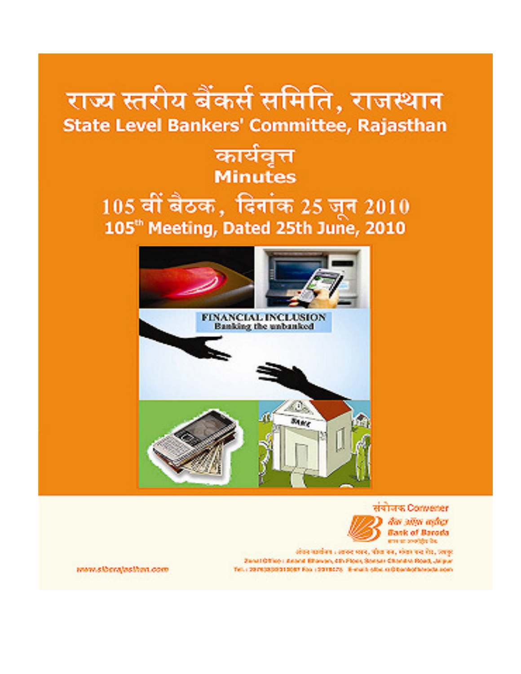# राज्य स्तरीय बैंकर्स समिति, राजस्थान State Level Bankers' Committee, Rajasthan

# कार्यवत्त **Minutes**

# 105 वीं बैठक, दिनांक 25 जून 2010 105<sup>th</sup> Meeting, Dated 25th June, 2010



संयोजक Converter dar wyn mingr **Bask of Baroda** adi referencias anti-

लोक महावेशा : स्वरूद म्लर, पोपा रूप, मंजा पर रोह, ज्लुह Zanał Office i Asana Bhawan, chi Plock, Sensar Chandre Road, Jalpur Tel.: 2010(030010007 Fax: 10010078 - 8-mail: 60x ra@banto@asoda.com

www.siberajasihan.com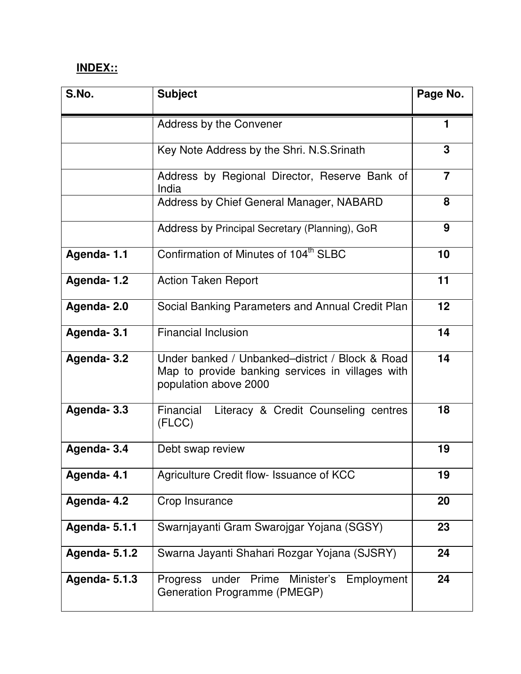## **INDEX::**

| S.No.                                                                     | <b>Subject</b>                                                                | Page No.       |
|---------------------------------------------------------------------------|-------------------------------------------------------------------------------|----------------|
|                                                                           | Address by the Convener                                                       |                |
|                                                                           | Key Note Address by the Shri. N.S.Srinath                                     | 3              |
|                                                                           | Address by Regional Director, Reserve Bank of<br>India                        | $\overline{7}$ |
|                                                                           | Address by Chief General Manager, NABARD                                      | 8              |
|                                                                           | Address by Principal Secretary (Planning), GoR                                | 9              |
| Agenda-1.1                                                                | Confirmation of Minutes of 104 <sup>th</sup> SLBC                             | 10             |
| Agenda-1.2                                                                | <b>Action Taken Report</b>                                                    | 11             |
| Agenda-2.0                                                                | Social Banking Parameters and Annual Credit Plan                              | 12             |
| <b>Financial Inclusion</b><br>Agenda-3.1                                  |                                                                               | 14             |
| Agenda-3.2                                                                | 14                                                                            |                |
| Agenda-3.3<br>Financial<br>Literacy & Credit Counseling centres<br>(FLCC) |                                                                               | 18             |
| Agenda-3.4                                                                | Debt swap review                                                              | 19             |
| Agenda-4.1                                                                | Agriculture Credit flow- Issuance of KCC                                      | 19             |
| Agenda-4.2                                                                | Crop Insurance                                                                | 20             |
| <b>Agenda- 5.1.1</b>                                                      | Swarnjayanti Gram Swarojgar Yojana (SGSY)                                     | 23             |
| <b>Agenda- 5.1.2</b>                                                      | Swarna Jayanti Shahari Rozgar Yojana (SJSRY)                                  |                |
| <b>Agenda- 5.1.3</b>                                                      | Progress under Prime Minister's<br>Employment<br>Generation Programme (PMEGP) | 24             |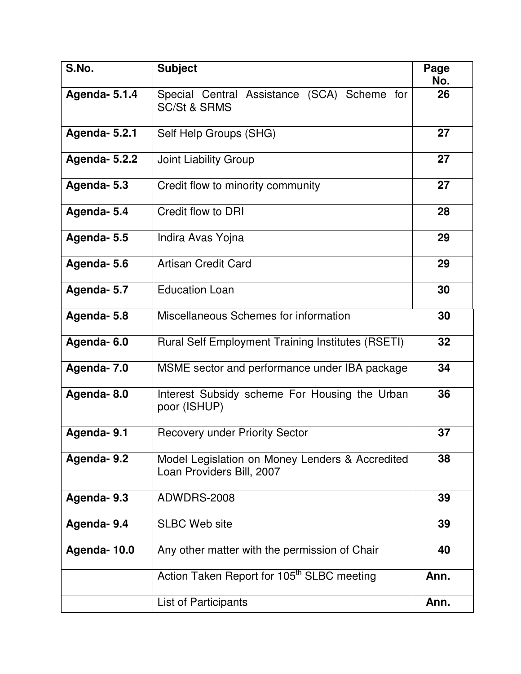| S.No.                | <b>Subject</b>                                                               | Page<br>No. |
|----------------------|------------------------------------------------------------------------------|-------------|
| <b>Agenda- 5.1.4</b> | Special Central Assistance (SCA) Scheme for<br><b>SC/St &amp; SRMS</b>       | 26          |
| <b>Agenda- 5.2.1</b> | Self Help Groups (SHG)                                                       | 27          |
| <b>Agenda- 5.2.2</b> | Joint Liability Group                                                        | 27          |
| Agenda-5.3           | Credit flow to minority community                                            | 27          |
| Agenda-5.4           | Credit flow to DRI                                                           | 28          |
| Agenda-5.5           | Indira Avas Yojna                                                            | 29          |
| Agenda-5.6           | <b>Artisan Credit Card</b>                                                   | 29          |
| Agenda- 5.7          | <b>Education Loan</b>                                                        | 30          |
| Agenda-5.8           | Miscellaneous Schemes for information                                        | 30          |
| Agenda-6.0           | <b>Rural Self Employment Training Institutes (RSETI)</b>                     | 32          |
| Agenda- 7.0          | MSME sector and performance under IBA package                                | 34          |
| Agenda-8.0           | Interest Subsidy scheme For Housing the Urban<br>poor (ISHUP)                | 36          |
| Agenda-9.1           | <b>Recovery under Priority Sector</b>                                        | 37          |
| Agenda-9.2           | Model Legislation on Money Lenders & Accredited<br>Loan Providers Bill, 2007 | 38          |
| Agenda- 9.3          | ADWDRS-2008                                                                  | 39          |
| Agenda-9.4           | <b>SLBC Web site</b>                                                         | 39          |
| Agenda-10.0          | Any other matter with the permission of Chair                                | 40          |
|                      | Action Taken Report for 105 <sup>th</sup> SLBC meeting                       | Ann.        |
|                      | List of Participants                                                         |             |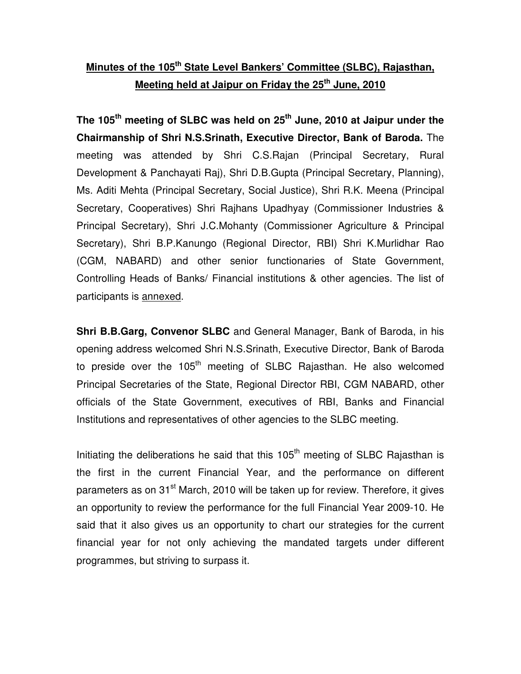## **Minutes of the 105th State Level Bankers' Committee (SLBC), Rajasthan, Meeting held at Jaipur on Friday the 25th June, 2010**

**The 105th meeting of SLBC was held on 25th June, 2010 at Jaipur under the Chairmanship of Shri N.S.Srinath, Executive Director, Bank of Baroda.** The meeting was attended by Shri C.S.Rajan (Principal Secretary, Rural Development & Panchayati Raj), Shri D.B.Gupta (Principal Secretary, Planning), Ms. Aditi Mehta (Principal Secretary, Social Justice), Shri R.K. Meena (Principal Secretary, Cooperatives) Shri Rajhans Upadhyay (Commissioner Industries & Principal Secretary), Shri J.C.Mohanty (Commissioner Agriculture & Principal Secretary), Shri B.P.Kanungo (Regional Director, RBI) Shri K.Murlidhar Rao (CGM, NABARD) and other senior functionaries of State Government, Controlling Heads of Banks/ Financial institutions & other agencies. The list of participants is annexed.

**Shri B.B.Garg, Convenor SLBC** and General Manager, Bank of Baroda, in his opening address welcomed Shri N.S.Srinath, Executive Director, Bank of Baroda to preside over the 105<sup>th</sup> meeting of SLBC Rajasthan. He also welcomed Principal Secretaries of the State, Regional Director RBI, CGM NABARD, other officials of the State Government, executives of RBI, Banks and Financial Institutions and representatives of other agencies to the SLBC meeting.

Initiating the deliberations he said that this  $105<sup>th</sup>$  meeting of SLBC Rajasthan is the first in the current Financial Year, and the performance on different parameters as on 31<sup>st</sup> March, 2010 will be taken up for review. Therefore, it gives an opportunity to review the performance for the full Financial Year 2009-10. He said that it also gives us an opportunity to chart our strategies for the current financial year for not only achieving the mandated targets under different programmes, but striving to surpass it.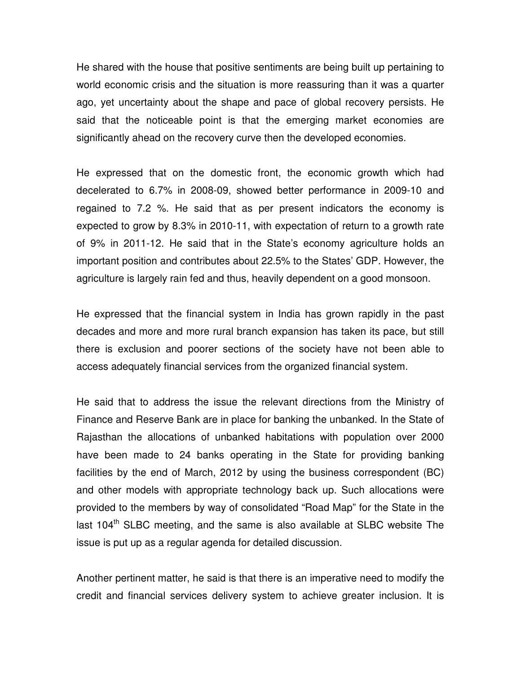He shared with the house that positive sentiments are being built up pertaining to world economic crisis and the situation is more reassuring than it was a quarter ago, yet uncertainty about the shape and pace of global recovery persists. He said that the noticeable point is that the emerging market economies are significantly ahead on the recovery curve then the developed economies.

He expressed that on the domestic front, the economic growth which had decelerated to 6.7% in 2008-09, showed better performance in 2009-10 and regained to 7.2 %. He said that as per present indicators the economy is expected to grow by 8.3% in 2010-11, with expectation of return to a growth rate of 9% in 2011-12. He said that in the State's economy agriculture holds an important position and contributes about 22.5% to the States' GDP. However, the agriculture is largely rain fed and thus, heavily dependent on a good monsoon.

He expressed that the financial system in India has grown rapidly in the past decades and more and more rural branch expansion has taken its pace, but still there is exclusion and poorer sections of the society have not been able to access adequately financial services from the organized financial system.

He said that to address the issue the relevant directions from the Ministry of Finance and Reserve Bank are in place for banking the unbanked. In the State of Rajasthan the allocations of unbanked habitations with population over 2000 have been made to 24 banks operating in the State for providing banking facilities by the end of March, 2012 by using the business correspondent (BC) and other models with appropriate technology back up. Such allocations were provided to the members by way of consolidated "Road Map" for the State in the last 104<sup>th</sup> SLBC meeting, and the same is also available at SLBC website The issue is put up as a regular agenda for detailed discussion.

Another pertinent matter, he said is that there is an imperative need to modify the credit and financial services delivery system to achieve greater inclusion. It is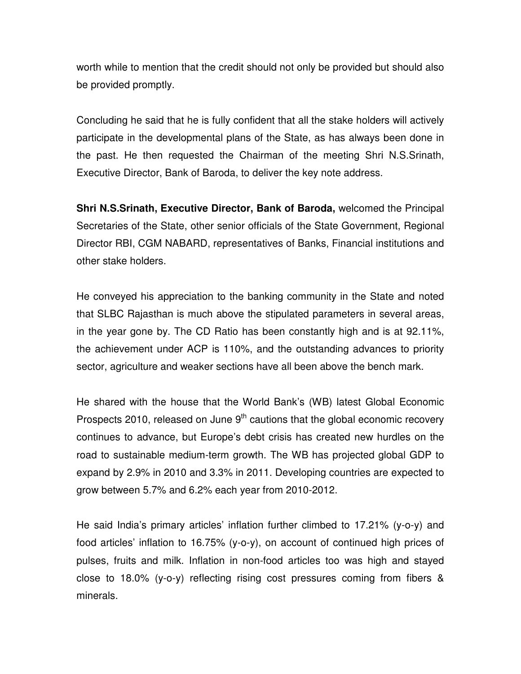worth while to mention that the credit should not only be provided but should also be provided promptly.

Concluding he said that he is fully confident that all the stake holders will actively participate in the developmental plans of the State, as has always been done in the past. He then requested the Chairman of the meeting Shri N.S.Srinath, Executive Director, Bank of Baroda, to deliver the key note address.

**Shri N.S.Srinath, Executive Director, Bank of Baroda,** welcomed the Principal Secretaries of the State, other senior officials of the State Government, Regional Director RBI, CGM NABARD, representatives of Banks, Financial institutions and other stake holders.

He conveyed his appreciation to the banking community in the State and noted that SLBC Rajasthan is much above the stipulated parameters in several areas, in the year gone by. The CD Ratio has been constantly high and is at 92.11%, the achievement under ACP is 110%, and the outstanding advances to priority sector, agriculture and weaker sections have all been above the bench mark.

He shared with the house that the World Bank's (WB) latest Global Economic Prospects 2010, released on June  $9<sup>th</sup>$  cautions that the global economic recovery continues to advance, but Europe's debt crisis has created new hurdles on the road to sustainable medium-term growth. The WB has projected global GDP to expand by 2.9% in 2010 and 3.3% in 2011. Developing countries are expected to grow between 5.7% and 6.2% each year from 2010-2012.

He said India's primary articles' inflation further climbed to 17.21% (y-o-y) and food articles' inflation to 16.75% (y-o-y), on account of continued high prices of pulses, fruits and milk. Inflation in non-food articles too was high and stayed close to 18.0% (y-o-y) reflecting rising cost pressures coming from fibers & minerals.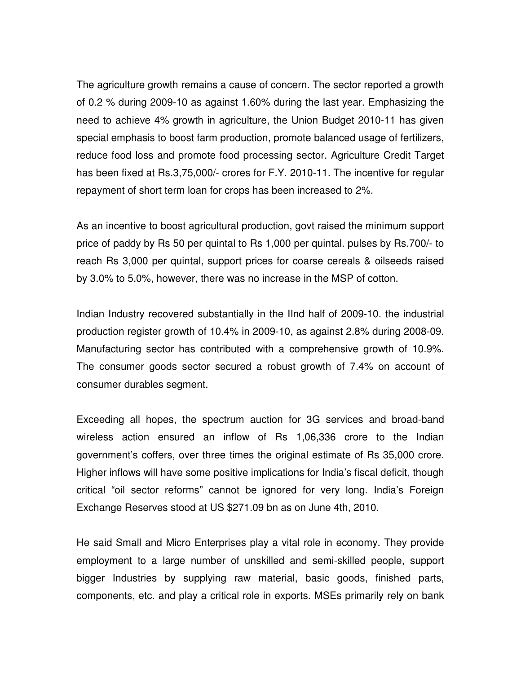The agriculture growth remains a cause of concern. The sector reported a growth of 0.2 % during 2009-10 as against 1.60% during the last year. Emphasizing the need to achieve 4% growth in agriculture, the Union Budget 2010-11 has given special emphasis to boost farm production, promote balanced usage of fertilizers, reduce food loss and promote food processing sector. Agriculture Credit Target has been fixed at Rs.3,75,000/- crores for F.Y. 2010-11. The incentive for regular repayment of short term loan for crops has been increased to 2%.

As an incentive to boost agricultural production, govt raised the minimum support price of paddy by Rs 50 per quintal to Rs 1,000 per quintal. pulses by Rs.700/- to reach Rs 3,000 per quintal, support prices for coarse cereals & oilseeds raised by 3.0% to 5.0%, however, there was no increase in the MSP of cotton.

Indian Industry recovered substantially in the IInd half of 2009-10. the industrial production register growth of 10.4% in 2009-10, as against 2.8% during 2008-09. Manufacturing sector has contributed with a comprehensive growth of 10.9%. The consumer goods sector secured a robust growth of 7.4% on account of consumer durables segment.

Exceeding all hopes, the spectrum auction for 3G services and broad-band wireless action ensured an inflow of Rs 1,06,336 crore to the Indian government's coffers, over three times the original estimate of Rs 35,000 crore. Higher inflows will have some positive implications for India's fiscal deficit, though critical "oil sector reforms" cannot be ignored for very long. India's Foreign Exchange Reserves stood at US \$271.09 bn as on June 4th, 2010.

He said Small and Micro Enterprises play a vital role in economy. They provide employment to a large number of unskilled and semi-skilled people, support bigger Industries by supplying raw material, basic goods, finished parts, components, etc. and play a critical role in exports. MSEs primarily rely on bank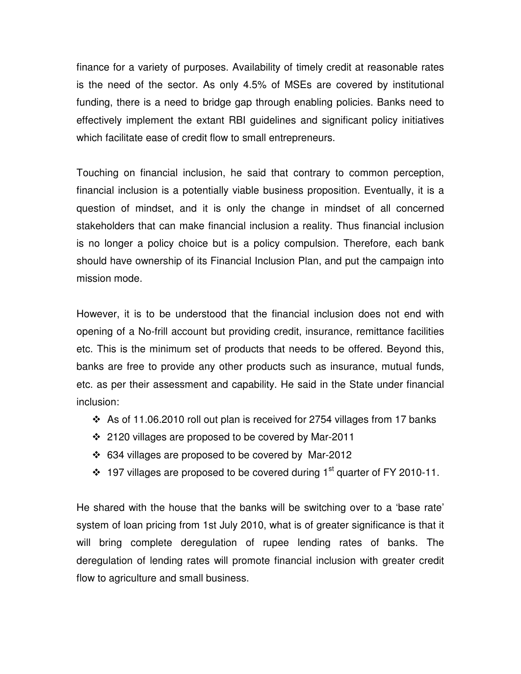finance for a variety of purposes. Availability of timely credit at reasonable rates is the need of the sector. As only 4.5% of MSEs are covered by institutional funding, there is a need to bridge gap through enabling policies. Banks need to effectively implement the extant RBI guidelines and significant policy initiatives which facilitate ease of credit flow to small entrepreneurs.

Touching on financial inclusion, he said that contrary to common perception, financial inclusion is a potentially viable business proposition. Eventually, it is a question of mindset, and it is only the change in mindset of all concerned stakeholders that can make financial inclusion a reality. Thus financial inclusion is no longer a policy choice but is a policy compulsion. Therefore, each bank should have ownership of its Financial Inclusion Plan, and put the campaign into mission mode.

However, it is to be understood that the financial inclusion does not end with opening of a No-frill account but providing credit, insurance, remittance facilities etc. This is the minimum set of products that needs to be offered. Beyond this, banks are free to provide any other products such as insurance, mutual funds, etc. as per their assessment and capability. He said in the State under financial inclusion:

- $\cdot$  As of 11.06.2010 roll out plan is received for 2754 villages from 17 banks
- ❖ 2120 villages are proposed to be covered by Mar-2011
- 634 villages are proposed to be covered by Mar-2012
- $\cdot$  197 villages are proposed to be covered during 1<sup>st</sup> quarter of FY 2010-11.

He shared with the house that the banks will be switching over to a 'base rate' system of loan pricing from 1st July 2010, what is of greater significance is that it will bring complete deregulation of rupee lending rates of banks. The deregulation of lending rates will promote financial inclusion with greater credit flow to agriculture and small business.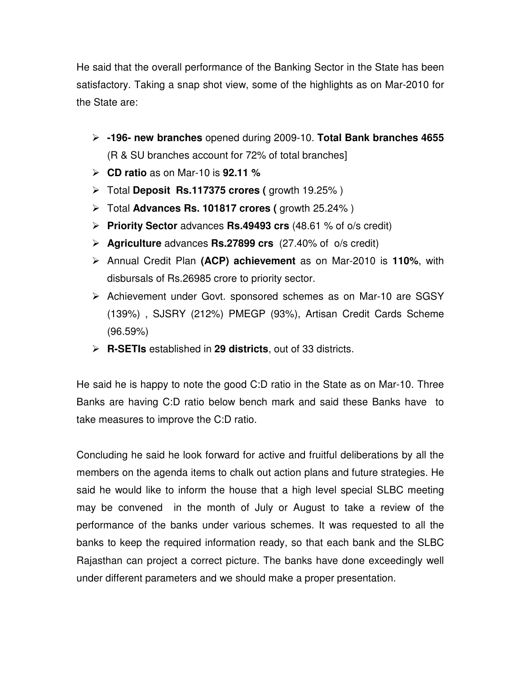He said that the overall performance of the Banking Sector in the State has been satisfactory. Taking a snap shot view, some of the highlights as on Mar-2010 for the State are:

- **-196- new branches** opened during 2009-10. **Total Bank branches 4655** (R & SU branches account for 72% of total branches]
- **CD ratio** as on Mar-10 is **92.11 %**
- Total **Deposit Rs.117375 crores (** growth 19.25% )
- > Total **Advances Rs. 101817 crores (** growth 25.24%)
- **Priority Sector** advances **Rs.49493 crs** (48.61 % of o/s credit)
- **Agriculture** advances **Rs.27899 crs** (27.40% of o/s credit)
- Annual Credit Plan **(ACP) achievement** as on Mar-2010 is **110%**, with disbursals of Rs.26985 crore to priority sector.
- > Achievement under Govt. sponsored schemes as on Mar-10 are SGSY (139%) , SJSRY (212%) PMEGP (93%), Artisan Credit Cards Scheme (96.59%)
- **R-SETIs** established in **29 districts**, out of 33 districts.

He said he is happy to note the good C:D ratio in the State as on Mar-10. Three Banks are having C:D ratio below bench mark and said these Banks have to take measures to improve the C:D ratio.

Concluding he said he look forward for active and fruitful deliberations by all the members on the agenda items to chalk out action plans and future strategies. He said he would like to inform the house that a high level special SLBC meeting may be convened in the month of July or August to take a review of the performance of the banks under various schemes. It was requested to all the banks to keep the required information ready, so that each bank and the SLBC Rajasthan can project a correct picture. The banks have done exceedingly well under different parameters and we should make a proper presentation.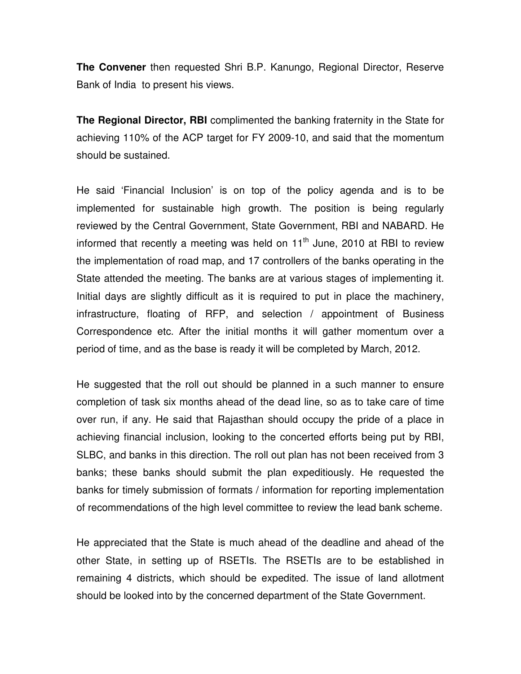**The Convener** then requested Shri B.P. Kanungo, Regional Director, Reserve Bank of India to present his views.

**The Regional Director, RBI** complimented the banking fraternity in the State for achieving 110% of the ACP target for FY 2009-10, and said that the momentum should be sustained.

He said 'Financial Inclusion' is on top of the policy agenda and is to be implemented for sustainable high growth. The position is being regularly reviewed by the Central Government, State Government, RBI and NABARD. He informed that recently a meeting was held on  $11<sup>th</sup>$  June, 2010 at RBI to review the implementation of road map, and 17 controllers of the banks operating in the State attended the meeting. The banks are at various stages of implementing it. Initial days are slightly difficult as it is required to put in place the machinery, infrastructure, floating of RFP, and selection / appointment of Business Correspondence etc. After the initial months it will gather momentum over a period of time, and as the base is ready it will be completed by March, 2012.

He suggested that the roll out should be planned in a such manner to ensure completion of task six months ahead of the dead line, so as to take care of time over run, if any. He said that Rajasthan should occupy the pride of a place in achieving financial inclusion, looking to the concerted efforts being put by RBI, SLBC, and banks in this direction. The roll out plan has not been received from 3 banks; these banks should submit the plan expeditiously. He requested the banks for timely submission of formats / information for reporting implementation of recommendations of the high level committee to review the lead bank scheme.

He appreciated that the State is much ahead of the deadline and ahead of the other State, in setting up of RSETIs. The RSETIs are to be established in remaining 4 districts, which should be expedited. The issue of land allotment should be looked into by the concerned department of the State Government.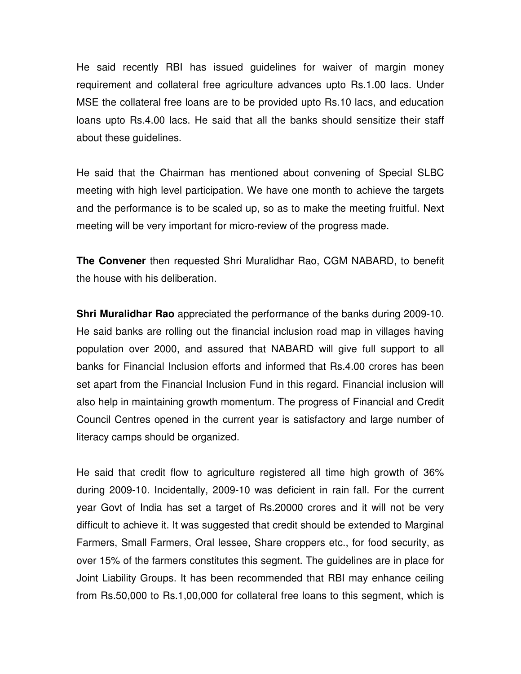He said recently RBI has issued guidelines for waiver of margin money requirement and collateral free agriculture advances upto Rs.1.00 lacs. Under MSE the collateral free loans are to be provided upto Rs.10 lacs, and education loans upto Rs.4.00 lacs. He said that all the banks should sensitize their staff about these guidelines.

He said that the Chairman has mentioned about convening of Special SLBC meeting with high level participation. We have one month to achieve the targets and the performance is to be scaled up, so as to make the meeting fruitful. Next meeting will be very important for micro-review of the progress made.

**The Convener** then requested Shri Muralidhar Rao, CGM NABARD, to benefit the house with his deliberation.

**Shri Muralidhar Rao** appreciated the performance of the banks during 2009-10. He said banks are rolling out the financial inclusion road map in villages having population over 2000, and assured that NABARD will give full support to all banks for Financial Inclusion efforts and informed that Rs.4.00 crores has been set apart from the Financial Inclusion Fund in this regard. Financial inclusion will also help in maintaining growth momentum. The progress of Financial and Credit Council Centres opened in the current year is satisfactory and large number of literacy camps should be organized.

He said that credit flow to agriculture registered all time high growth of 36% during 2009-10. Incidentally, 2009-10 was deficient in rain fall. For the current year Govt of India has set a target of Rs.20000 crores and it will not be very difficult to achieve it. It was suggested that credit should be extended to Marginal Farmers, Small Farmers, Oral lessee, Share croppers etc., for food security, as over 15% of the farmers constitutes this segment. The guidelines are in place for Joint Liability Groups. It has been recommended that RBI may enhance ceiling from Rs.50,000 to Rs.1,00,000 for collateral free loans to this segment, which is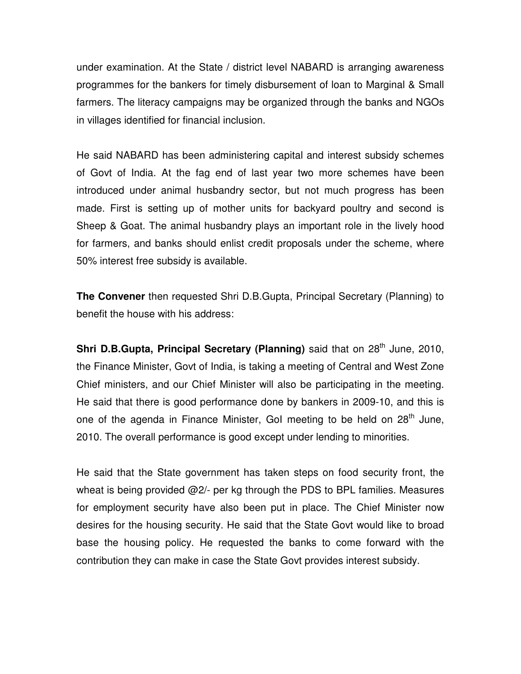under examination. At the State / district level NABARD is arranging awareness programmes for the bankers for timely disbursement of loan to Marginal & Small farmers. The literacy campaigns may be organized through the banks and NGOs in villages identified for financial inclusion.

He said NABARD has been administering capital and interest subsidy schemes of Govt of India. At the fag end of last year two more schemes have been introduced under animal husbandry sector, but not much progress has been made. First is setting up of mother units for backyard poultry and second is Sheep & Goat. The animal husbandry plays an important role in the lively hood for farmers, and banks should enlist credit proposals under the scheme, where 50% interest free subsidy is available.

**The Convener** then requested Shri D.B.Gupta, Principal Secretary (Planning) to benefit the house with his address:

**Shri D.B.Gupta, Principal Secretary (Planning)** said that on 28<sup>th</sup> June, 2010, the Finance Minister, Govt of India, is taking a meeting of Central and West Zone Chief ministers, and our Chief Minister will also be participating in the meeting. He said that there is good performance done by bankers in 2009-10, and this is one of the agenda in Finance Minister, GoI meeting to be held on  $28<sup>th</sup>$  June, 2010. The overall performance is good except under lending to minorities.

He said that the State government has taken steps on food security front, the wheat is being provided @2/- per kg through the PDS to BPL families. Measures for employment security have also been put in place. The Chief Minister now desires for the housing security. He said that the State Govt would like to broad base the housing policy. He requested the banks to come forward with the contribution they can make in case the State Govt provides interest subsidy.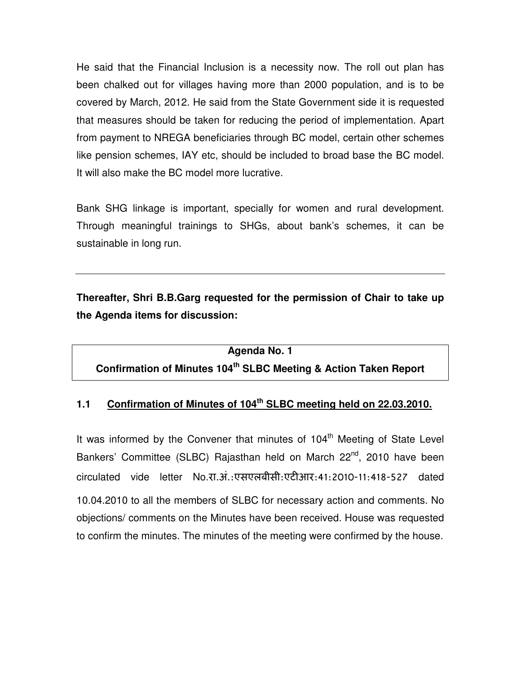He said that the Financial Inclusion is a necessity now. The roll out plan has been chalked out for villages having more than 2000 population, and is to be covered by March, 2012. He said from the State Government side it is requested that measures should be taken for reducing the period of implementation. Apart from payment to NREGA beneficiaries through BC model, certain other schemes like pension schemes, IAY etc, should be included to broad base the BC model. It will also make the BC model more lucrative.

Bank SHG linkage is important, specially for women and rural development. Through meaningful trainings to SHGs, about bank's schemes, it can be sustainable in long run.

**Thereafter, Shri B.B.Garg requested for the permission of Chair to take up the Agenda items for discussion:** 

**Agenda No. 1** 

**Confirmation of Minutes 104th SLBC Meeting & Action Taken Report** 

#### **1.1 Confirmation of Minutes of 104th SLBC meeting held on 22.03.2010.**

It was informed by the Convener that minutes of  $104<sup>th</sup>$  Meeting of State Level Bankers' Committee (SLBC) Rajasthan held on March 22<sup>nd</sup>, 2010 have been circulated vide letter No.रा.अं.:एसएलबीसी:एट
आर:41:2010-11:418-527 dated 10.04.2010 to all the members of SLBC for necessary action and comments. No objections/ comments on the Minutes have been received. House was requested to confirm the minutes. The minutes of the meeting were confirmed by the house.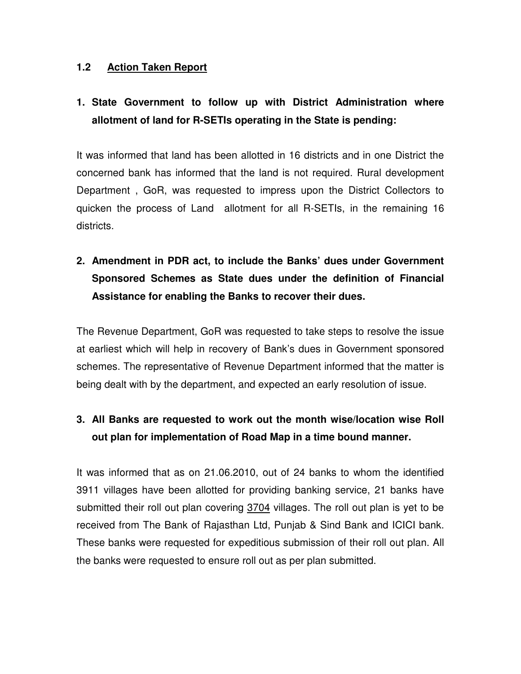#### **1.2 Action Taken Report**

## **1. State Government to follow up with District Administration where allotment of land for R-SETIs operating in the State is pending:**

It was informed that land has been allotted in 16 districts and in one District the concerned bank has informed that the land is not required. Rural development Department , GoR, was requested to impress upon the District Collectors to quicken the process of Land allotment for all R-SETIs, in the remaining 16 districts.

## **2. Amendment in PDR act, to include the Banks' dues under Government Sponsored Schemes as State dues under the definition of Financial Assistance for enabling the Banks to recover their dues.**

The Revenue Department, GoR was requested to take steps to resolve the issue at earliest which will help in recovery of Bank's dues in Government sponsored schemes. The representative of Revenue Department informed that the matter is being dealt with by the department, and expected an early resolution of issue.

### **3. All Banks are requested to work out the month wise/location wise Roll out plan for implementation of Road Map in a time bound manner.**

It was informed that as on 21.06.2010, out of 24 banks to whom the identified 3911 villages have been allotted for providing banking service, 21 banks have submitted their roll out plan covering 3704 villages. The roll out plan is yet to be received from The Bank of Rajasthan Ltd, Punjab & Sind Bank and ICICI bank. These banks were requested for expeditious submission of their roll out plan. All the banks were requested to ensure roll out as per plan submitted.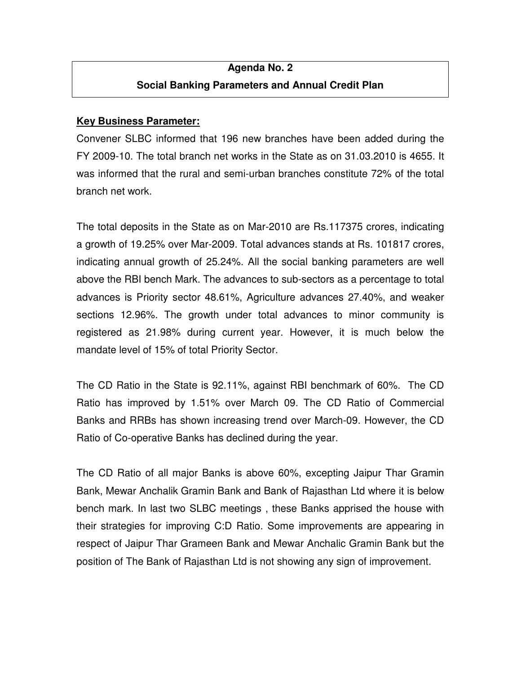## **Agenda No. 2 Social Banking Parameters and Annual Credit Plan**

#### **Key Business Parameter:**

Convener SLBC informed that 196 new branches have been added during the FY 2009-10. The total branch net works in the State as on 31.03.2010 is 4655. It was informed that the rural and semi-urban branches constitute 72% of the total branch net work.

The total deposits in the State as on Mar-2010 are Rs.117375 crores, indicating a growth of 19.25% over Mar-2009. Total advances stands at Rs. 101817 crores, indicating annual growth of 25.24%. All the social banking parameters are well above the RBI bench Mark. The advances to sub-sectors as a percentage to total advances is Priority sector 48.61%, Agriculture advances 27.40%, and weaker sections 12.96%. The growth under total advances to minor community is registered as 21.98% during current year. However, it is much below the mandate level of 15% of total Priority Sector.

The CD Ratio in the State is 92.11%, against RBI benchmark of 60%. The CD Ratio has improved by 1.51% over March 09. The CD Ratio of Commercial Banks and RRBs has shown increasing trend over March-09. However, the CD Ratio of Co-operative Banks has declined during the year.

The CD Ratio of all major Banks is above 60%, excepting Jaipur Thar Gramin Bank, Mewar Anchalik Gramin Bank and Bank of Rajasthan Ltd where it is below bench mark. In last two SLBC meetings , these Banks apprised the house with their strategies for improving C:D Ratio. Some improvements are appearing in respect of Jaipur Thar Grameen Bank and Mewar Anchalic Gramin Bank but the position of The Bank of Rajasthan Ltd is not showing any sign of improvement.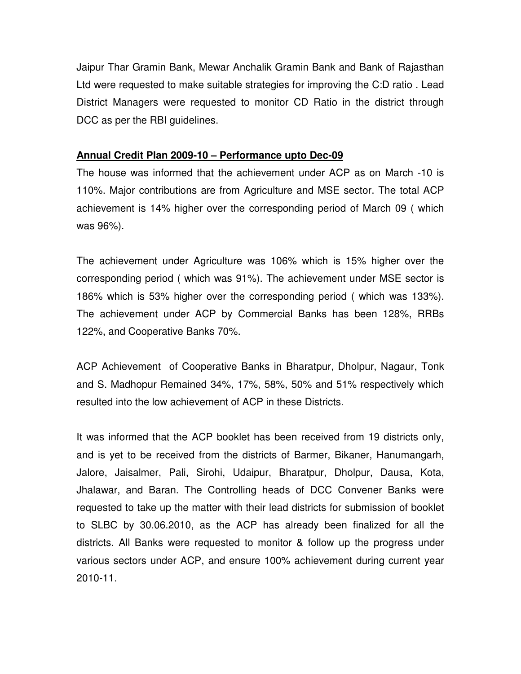Jaipur Thar Gramin Bank, Mewar Anchalik Gramin Bank and Bank of Rajasthan Ltd were requested to make suitable strategies for improving the C:D ratio . Lead District Managers were requested to monitor CD Ratio in the district through DCC as per the RBI guidelines.

#### **Annual Credit Plan 2009-10 – Performance upto Dec-09**

The house was informed that the achievement under ACP as on March -10 is 110%. Major contributions are from Agriculture and MSE sector. The total ACP achievement is 14% higher over the corresponding period of March 09 ( which was 96%).

The achievement under Agriculture was 106% which is 15% higher over the corresponding period ( which was 91%). The achievement under MSE sector is 186% which is 53% higher over the corresponding period ( which was 133%). The achievement under ACP by Commercial Banks has been 128%, RRBs 122%, and Cooperative Banks 70%.

ACP Achievement of Cooperative Banks in Bharatpur, Dholpur, Nagaur, Tonk and S. Madhopur Remained 34%, 17%, 58%, 50% and 51% respectively which resulted into the low achievement of ACP in these Districts.

It was informed that the ACP booklet has been received from 19 districts only, and is yet to be received from the districts of Barmer, Bikaner, Hanumangarh, Jalore, Jaisalmer, Pali, Sirohi, Udaipur, Bharatpur, Dholpur, Dausa, Kota, Jhalawar, and Baran. The Controlling heads of DCC Convener Banks were requested to take up the matter with their lead districts for submission of booklet to SLBC by 30.06.2010, as the ACP has already been finalized for all the districts. All Banks were requested to monitor & follow up the progress under various sectors under ACP, and ensure 100% achievement during current year 2010-11.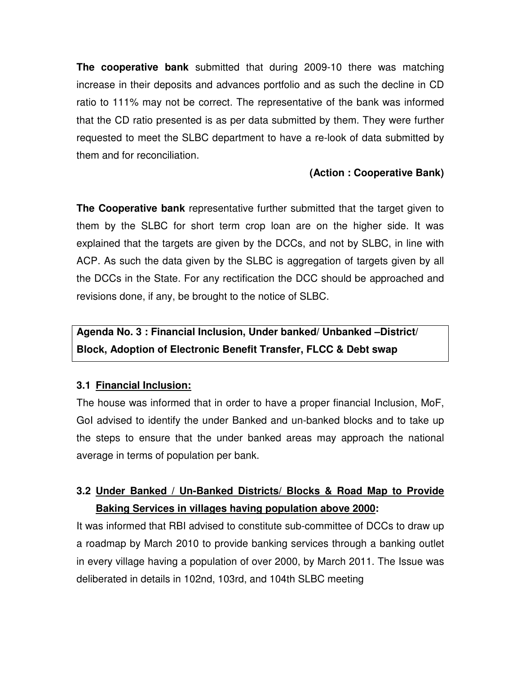**The cooperative bank** submitted that during 2009-10 there was matching increase in their deposits and advances portfolio and as such the decline in CD ratio to 111% may not be correct. The representative of the bank was informed that the CD ratio presented is as per data submitted by them. They were further requested to meet the SLBC department to have a re-look of data submitted by them and for reconciliation.

#### **(Action : Cooperative Bank)**

**The Cooperative bank** representative further submitted that the target given to them by the SLBC for short term crop loan are on the higher side. It was explained that the targets are given by the DCCs, and not by SLBC, in line with ACP. As such the data given by the SLBC is aggregation of targets given by all the DCCs in the State. For any rectification the DCC should be approached and revisions done, if any, be brought to the notice of SLBC.

## **Agenda No. 3 : Financial Inclusion, Under banked/ Unbanked –District/ Block, Adoption of Electronic Benefit Transfer, FLCC & Debt swap**

#### **3.1 Financial Inclusion:**

The house was informed that in order to have a proper financial Inclusion, MoF, GoI advised to identify the under Banked and un-banked blocks and to take up the steps to ensure that the under banked areas may approach the national average in terms of population per bank.

### **3.2 Under Banked / Un-Banked Districts/ Blocks & Road Map to Provide Baking Services in villages having population above 2000:**

It was informed that RBI advised to constitute sub-committee of DCCs to draw up a roadmap by March 2010 to provide banking services through a banking outlet in every village having a population of over 2000, by March 2011. The Issue was deliberated in details in 102nd, 103rd, and 104th SLBC meeting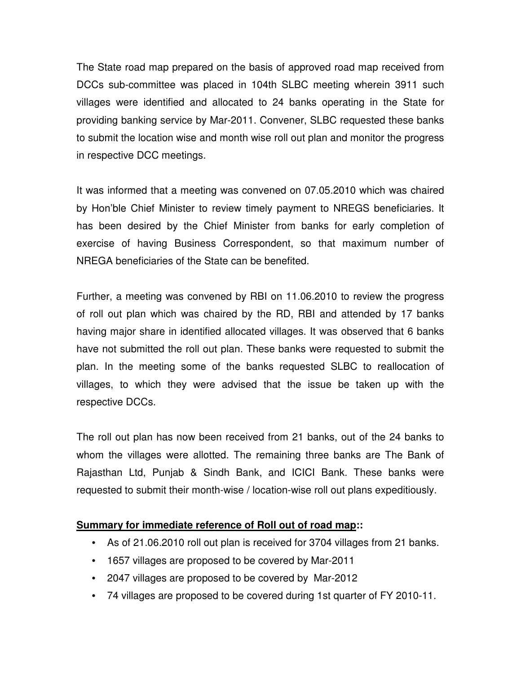The State road map prepared on the basis of approved road map received from DCCs sub-committee was placed in 104th SLBC meeting wherein 3911 such villages were identified and allocated to 24 banks operating in the State for providing banking service by Mar-2011. Convener, SLBC requested these banks to submit the location wise and month wise roll out plan and monitor the progress in respective DCC meetings.

It was informed that a meeting was convened on 07.05.2010 which was chaired by Hon'ble Chief Minister to review timely payment to NREGS beneficiaries. It has been desired by the Chief Minister from banks for early completion of exercise of having Business Correspondent, so that maximum number of NREGA beneficiaries of the State can be benefited.

Further, a meeting was convened by RBI on 11.06.2010 to review the progress of roll out plan which was chaired by the RD, RBI and attended by 17 banks having major share in identified allocated villages. It was observed that 6 banks have not submitted the roll out plan. These banks were requested to submit the plan. In the meeting some of the banks requested SLBC to reallocation of villages, to which they were advised that the issue be taken up with the respective DCCs.

The roll out plan has now been received from 21 banks, out of the 24 banks to whom the villages were allotted. The remaining three banks are The Bank of Rajasthan Ltd, Punjab & Sindh Bank, and ICICI Bank. These banks were requested to submit their month-wise / location-wise roll out plans expeditiously.

#### **Summary for immediate reference of Roll out of road map::**

- As of 21.06.2010 roll out plan is received for 3704 villages from 21 banks.
- 1657 villages are proposed to be covered by Mar-2011
- 2047 villages are proposed to be covered by Mar-2012
- 74 villages are proposed to be covered during 1st quarter of FY 2010-11.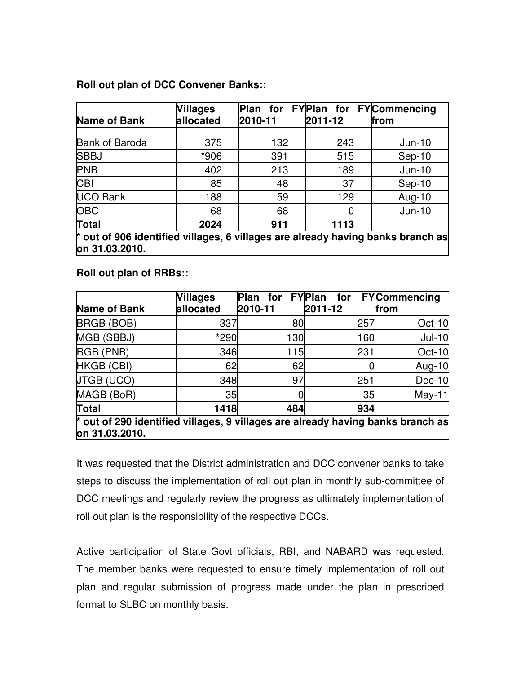#### **Roll out plan of DCC Convener Banks::**

| <b>Name of Bank</b>                                                                                 | <b>Villages</b><br>allocated | 2010-11 | 2011-12 | Plan for FYPlan for FYCommencing<br>from |
|-----------------------------------------------------------------------------------------------------|------------------------------|---------|---------|------------------------------------------|
| <b>Bank of Baroda</b>                                                                               | 375                          | 132     | 243     | $Jun-10$                                 |
| <b>SBBJ</b>                                                                                         | *906                         | 391     | 515     | $Sep-10$                                 |
| <b>PNB</b>                                                                                          | 402                          | 213     | 189     | $Jun-10$                                 |
| <b>CBI</b>                                                                                          | 85                           | 48      | 37      | $Sep-10$                                 |
| <b>UCO Bank</b>                                                                                     | 188                          | 59      | 129     | Aug-10                                   |
| <b>OBC</b>                                                                                          | 68                           | 68      |         | $Jun-10$                                 |
| Total                                                                                               | 2024                         | 911     | 1113    |                                          |
| $*$ out of 906 identified villages, 6 villages are already having banks branch as<br>on 31.03.2010. |                              |         |         |                                          |

**Roll out plan of RRBs::** 

|                                                                                   | <b>Villages</b> | Plan for FYPlan | for     | <b>FY</b> Commencing |
|-----------------------------------------------------------------------------------|-----------------|-----------------|---------|----------------------|
| Name of Bank                                                                      | allocated       | 2010-11         | 2011-12 | lfrom                |
| <b>BRGB (BOB)</b>                                                                 | 337             | 80              | 257     | Oct-10               |
| MGB (SBBJ)                                                                        | *290            | 130             | 160     | $Jul-10$             |
| RGB (PNB)                                                                         | 346             | 115             | 231     | <b>Oct-10</b>        |
| HKGB (CBI)                                                                        | 62              | 62              |         | Aug-10               |
| <b>JTGB (UCO)</b>                                                                 | 348             | 97              | 251     | <b>Dec-10</b>        |
| MAGB (BoR)                                                                        | 35              |                 | 35      | $May-11$             |
| Total                                                                             | 1418            | 484             | 934     |                      |
| $*$ out of 290 identified villages, 9 villages are already having banks branch as |                 |                 |         |                      |
| on 31.03.2010.                                                                    |                 |                 |         |                      |

It was requested that the District administration and DCC convener banks to take steps to discuss the implementation of roll out plan in monthly sub-committee of DCC meetings and regularly review the progress as ultimately implementation of roll out plan is the responsibility of the respective DCCs.

Active participation of State Govt officials, RBI, and NABARD was requested. The member banks were requested to ensure timely implementation of roll out plan and regular submission of progress made under the plan in prescribed format to SLBC on monthly basis.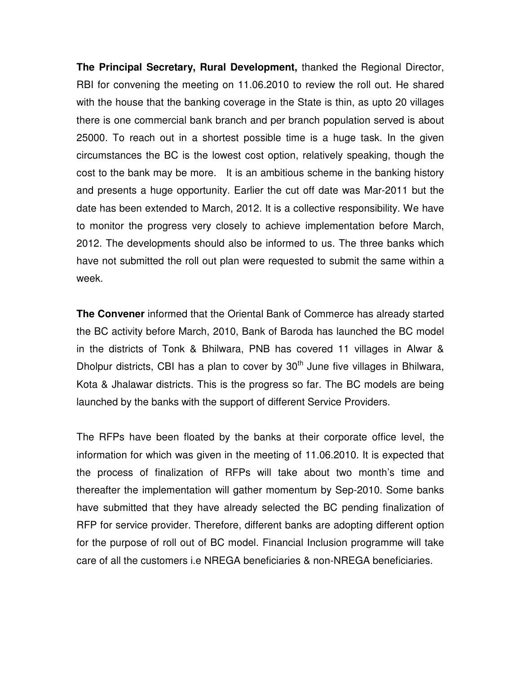**The Principal Secretary, Rural Development,** thanked the Regional Director, RBI for convening the meeting on 11.06.2010 to review the roll out. He shared with the house that the banking coverage in the State is thin, as upto 20 villages there is one commercial bank branch and per branch population served is about 25000. To reach out in a shortest possible time is a huge task. In the given circumstances the BC is the lowest cost option, relatively speaking, though the cost to the bank may be more. It is an ambitious scheme in the banking history and presents a huge opportunity. Earlier the cut off date was Mar-2011 but the date has been extended to March, 2012. It is a collective responsibility. We have to monitor the progress very closely to achieve implementation before March, 2012. The developments should also be informed to us. The three banks which have not submitted the roll out plan were requested to submit the same within a week.

**The Convener** informed that the Oriental Bank of Commerce has already started the BC activity before March, 2010, Bank of Baroda has launched the BC model in the districts of Tonk & Bhilwara, PNB has covered 11 villages in Alwar & Dholpur districts, CBI has a plan to cover by  $30<sup>th</sup>$  June five villages in Bhilwara, Kota & Jhalawar districts. This is the progress so far. The BC models are being launched by the banks with the support of different Service Providers.

The RFPs have been floated by the banks at their corporate office level, the information for which was given in the meeting of 11.06.2010. It is expected that the process of finalization of RFPs will take about two month's time and thereafter the implementation will gather momentum by Sep-2010. Some banks have submitted that they have already selected the BC pending finalization of RFP for service provider. Therefore, different banks are adopting different option for the purpose of roll out of BC model. Financial Inclusion programme will take care of all the customers i.e NREGA beneficiaries & non-NREGA beneficiaries.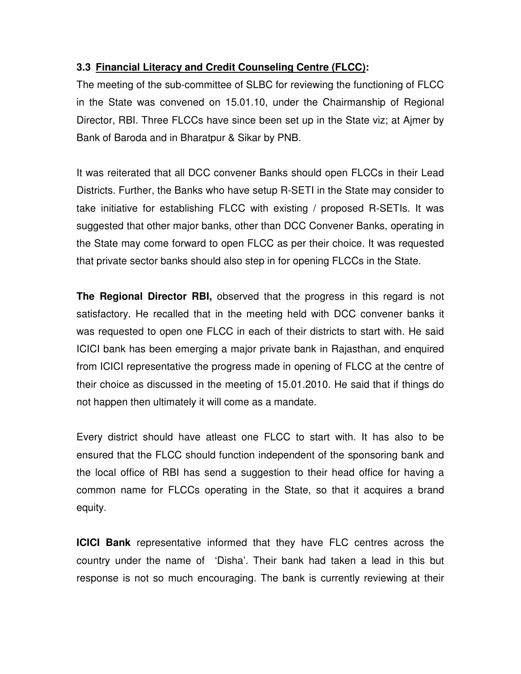#### **3.3 Financial Literacy and Credit Counseling Centre (FLCC):**

The meeting of the sub-committee of SLBC for reviewing the functioning of FLCC in the State was convened on 15.01.10, under the Chairmanship of Regional Director, RBI. Three FLCCs have since been set up in the State viz; at Ajmer by Bank of Baroda and in Bharatpur & Sikar by PNB.

It was reiterated that all DCC convener Banks should open FLCCs in their Lead Districts. Further, the Banks who have setup R-SETI in the State may consider to take initiative for establishing FLCC with existing / proposed R-SETIs. It was suggested that other major banks, other than DCC Convener Banks, operating in the State may come forward to open FLCC as per their choice. It was requested that private sector banks should also step in for opening FLCCs in the State.

**The Regional Director RBI,** observed that the progress in this regard is not satisfactory. He recalled that in the meeting held with DCC convener banks it was requested to open one FLCC in each of their districts to start with. He said ICICI bank has been emerging a major private bank in Rajasthan, and enquired from ICICI representative the progress made in opening of FLCC at the centre of their choice as discussed in the meeting of 15.01.2010. He said that if things do not happen then ultimately it will come as a mandate.

Every district should have atleast one FLCC to start with. It has also to be ensured that the FLCC should function independent of the sponsoring bank and the local office of RBI has send a suggestion to their head office for having a common name for FLCCs operating in the State, so that it acquires a brand equity.

**ICICI Bank** representative informed that they have FLC centres across the country under the name of 'Disha'. Their bank had taken a lead in this but response is not so much encouraging. The bank is currently reviewing at their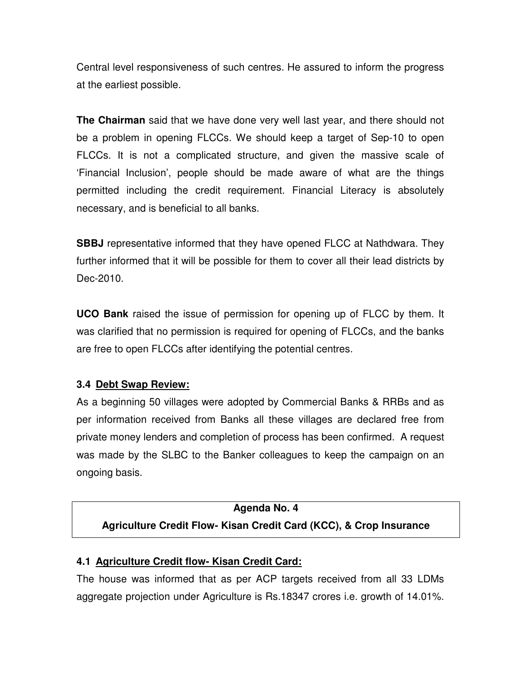Central level responsiveness of such centres. He assured to inform the progress at the earliest possible.

**The Chairman** said that we have done very well last year, and there should not be a problem in opening FLCCs. We should keep a target of Sep-10 to open FLCCs. It is not a complicated structure, and given the massive scale of 'Financial Inclusion', people should be made aware of what are the things permitted including the credit requirement. Financial Literacy is absolutely necessary, and is beneficial to all banks.

**SBBJ** representative informed that they have opened FLCC at Nathdwara. They further informed that it will be possible for them to cover all their lead districts by Dec-2010.

**UCO Bank** raised the issue of permission for opening up of FLCC by them. It was clarified that no permission is required for opening of FLCCs, and the banks are free to open FLCCs after identifying the potential centres.

#### **3.4 Debt Swap Review:**

As a beginning 50 villages were adopted by Commercial Banks & RRBs and as per information received from Banks all these villages are declared free from private money lenders and completion of process has been confirmed. A request was made by the SLBC to the Banker colleagues to keep the campaign on an ongoing basis.

## **Agenda No. 4 Agriculture Credit Flow- Kisan Credit Card (KCC), & Crop Insurance**

#### **4.1 Agriculture Credit flow- Kisan Credit Card:**

The house was informed that as per ACP targets received from all 33 LDMs aggregate projection under Agriculture is Rs.18347 crores i.e. growth of 14.01%.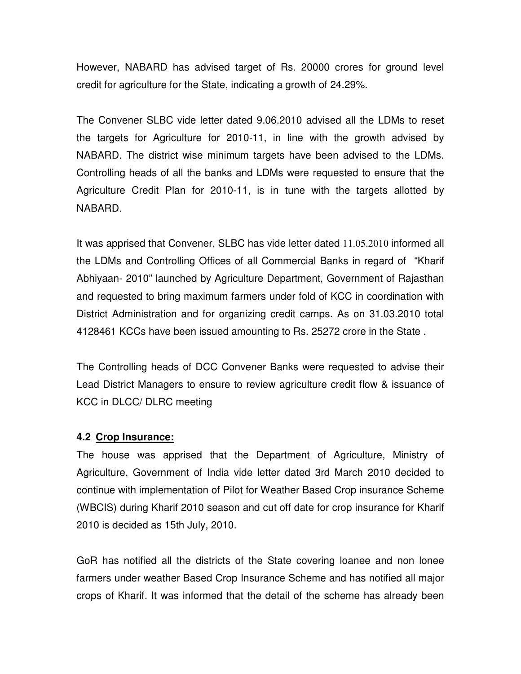However, NABARD has advised target of Rs. 20000 crores for ground level credit for agriculture for the State, indicating a growth of 24.29%.

The Convener SLBC vide letter dated 9.06.2010 advised all the LDMs to reset the targets for Agriculture for 2010-11, in line with the growth advised by NABARD. The district wise minimum targets have been advised to the LDMs. Controlling heads of all the banks and LDMs were requested to ensure that the Agriculture Credit Plan for 2010-11, is in tune with the targets allotted by NABARD.

It was apprised that Convener, SLBC has vide letter dated 11.05.2010 informed all the LDMs and Controlling Offices of all Commercial Banks in regard of "Kharif Abhiyaan- 2010" launched by Agriculture Department, Government of Rajasthan and requested to bring maximum farmers under fold of KCC in coordination with District Administration and for organizing credit camps. As on 31.03.2010 total 4128461 KCCs have been issued amounting to Rs. 25272 crore in the State .

The Controlling heads of DCC Convener Banks were requested to advise their Lead District Managers to ensure to review agriculture credit flow & issuance of KCC in DLCC/ DLRC meeting

#### **4.2 Crop Insurance:**

The house was apprised that the Department of Agriculture, Ministry of Agriculture, Government of India vide letter dated 3rd March 2010 decided to continue with implementation of Pilot for Weather Based Crop insurance Scheme (WBCIS) during Kharif 2010 season and cut off date for crop insurance for Kharif 2010 is decided as 15th July, 2010.

GoR has notified all the districts of the State covering loanee and non lonee farmers under weather Based Crop Insurance Scheme and has notified all major crops of Kharif. It was informed that the detail of the scheme has already been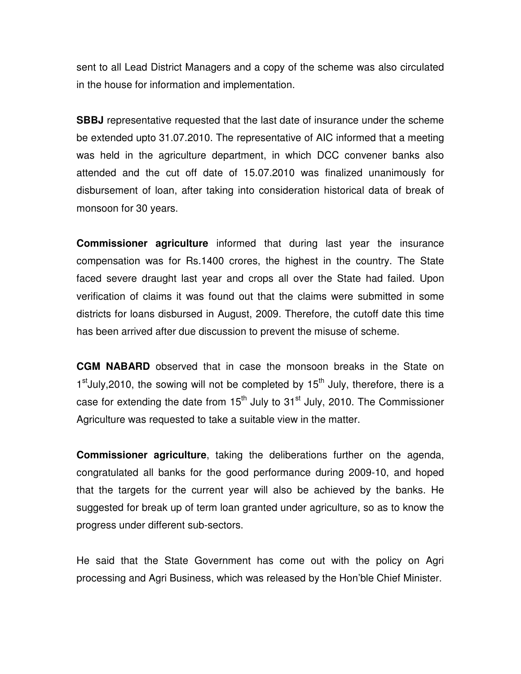sent to all Lead District Managers and a copy of the scheme was also circulated in the house for information and implementation.

**SBBJ** representative requested that the last date of insurance under the scheme be extended upto 31.07.2010. The representative of AIC informed that a meeting was held in the agriculture department, in which DCC convener banks also attended and the cut off date of 15.07.2010 was finalized unanimously for disbursement of loan, after taking into consideration historical data of break of monsoon for 30 years.

**Commissioner agriculture** informed that during last year the insurance compensation was for Rs.1400 crores, the highest in the country. The State faced severe draught last year and crops all over the State had failed. Upon verification of claims it was found out that the claims were submitted in some districts for loans disbursed in August, 2009. Therefore, the cutoff date this time has been arrived after due discussion to prevent the misuse of scheme.

**CGM NABARD** observed that in case the monsoon breaks in the State on 1<sup>st</sup>July, 2010, the sowing will not be completed by 15<sup>th</sup> July, therefore, there is a case for extending the date from  $15<sup>th</sup>$  July to  $31<sup>st</sup>$  July, 2010. The Commissioner Agriculture was requested to take a suitable view in the matter.

**Commissioner agriculture**, taking the deliberations further on the agenda, congratulated all banks for the good performance during 2009-10, and hoped that the targets for the current year will also be achieved by the banks. He suggested for break up of term loan granted under agriculture, so as to know the progress under different sub-sectors.

He said that the State Government has come out with the policy on Agri processing and Agri Business, which was released by the Hon'ble Chief Minister.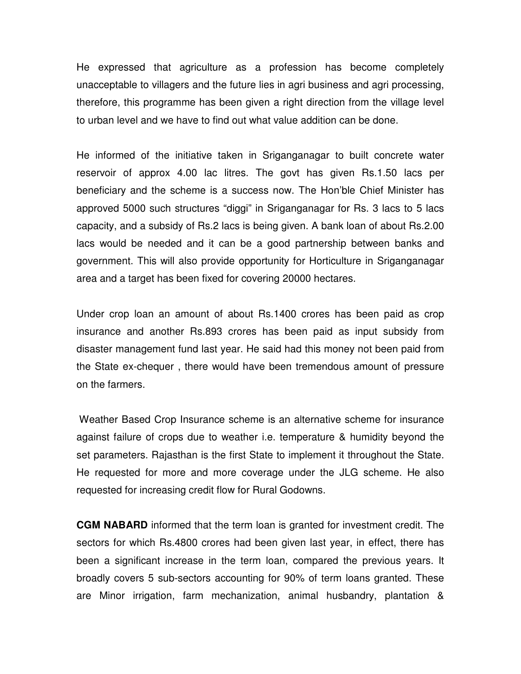He expressed that agriculture as a profession has become completely unacceptable to villagers and the future lies in agri business and agri processing, therefore, this programme has been given a right direction from the village level to urban level and we have to find out what value addition can be done.

He informed of the initiative taken in Sriganganagar to built concrete water reservoir of approx 4.00 lac litres. The govt has given Rs.1.50 lacs per beneficiary and the scheme is a success now. The Hon'ble Chief Minister has approved 5000 such structures "diggi" in Sriganganagar for Rs. 3 lacs to 5 lacs capacity, and a subsidy of Rs.2 lacs is being given. A bank loan of about Rs.2.00 lacs would be needed and it can be a good partnership between banks and government. This will also provide opportunity for Horticulture in Sriganganagar area and a target has been fixed for covering 20000 hectares.

Under crop loan an amount of about Rs.1400 crores has been paid as crop insurance and another Rs.893 crores has been paid as input subsidy from disaster management fund last year. He said had this money not been paid from the State ex-chequer , there would have been tremendous amount of pressure on the farmers.

 Weather Based Crop Insurance scheme is an alternative scheme for insurance against failure of crops due to weather i.e. temperature & humidity beyond the set parameters. Rajasthan is the first State to implement it throughout the State. He requested for more and more coverage under the JLG scheme. He also requested for increasing credit flow for Rural Godowns.

**CGM NABARD** informed that the term loan is granted for investment credit. The sectors for which Rs.4800 crores had been given last year, in effect, there has been a significant increase in the term loan, compared the previous years. It broadly covers 5 sub-sectors accounting for 90% of term loans granted. These are Minor irrigation, farm mechanization, animal husbandry, plantation &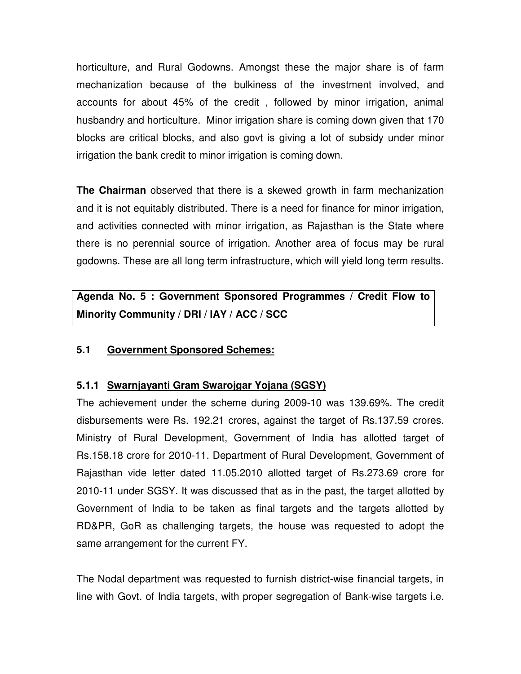horticulture, and Rural Godowns. Amongst these the major share is of farm mechanization because of the bulkiness of the investment involved, and accounts for about 45% of the credit , followed by minor irrigation, animal husbandry and horticulture. Minor irrigation share is coming down given that 170 blocks are critical blocks, and also govt is giving a lot of subsidy under minor irrigation the bank credit to minor irrigation is coming down.

**The Chairman** observed that there is a skewed growth in farm mechanization and it is not equitably distributed. There is a need for finance for minor irrigation, and activities connected with minor irrigation, as Rajasthan is the State where there is no perennial source of irrigation. Another area of focus may be rural godowns. These are all long term infrastructure, which will yield long term results.

**Agenda No. 5 : Government Sponsored Programmes / Credit Flow to Minority Community / DRI / IAY / ACC / SCC** 

#### **5.1 Government Sponsored Schemes:**

#### **5.1.1 Swarnjayanti Gram Swarojgar Yojana (SGSY)**

The achievement under the scheme during 2009-10 was 139.69%. The credit disbursements were Rs. 192.21 crores, against the target of Rs.137.59 crores. Ministry of Rural Development, Government of India has allotted target of Rs.158.18 crore for 2010-11. Department of Rural Development, Government of Rajasthan vide letter dated 11.05.2010 allotted target of Rs.273.69 crore for 2010-11 under SGSY. It was discussed that as in the past, the target allotted by Government of India to be taken as final targets and the targets allotted by RD&PR, GoR as challenging targets, the house was requested to adopt the same arrangement for the current FY.

The Nodal department was requested to furnish district-wise financial targets, in line with Govt. of India targets, with proper segregation of Bank-wise targets i.e.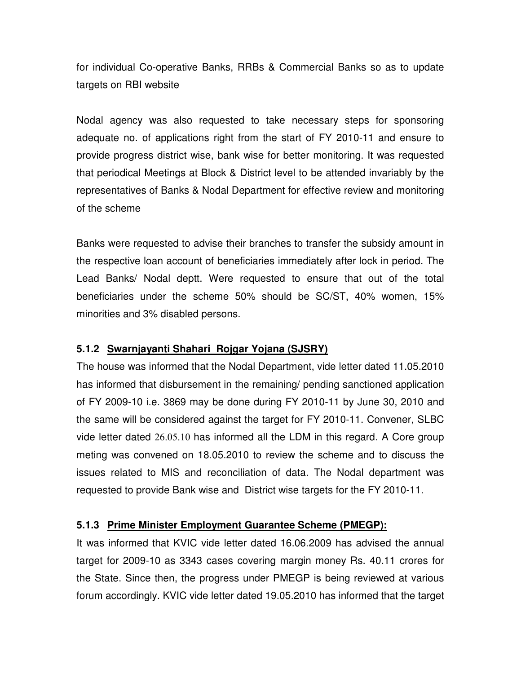for individual Co-operative Banks, RRBs & Commercial Banks so as to update targets on RBI website

Nodal agency was also requested to take necessary steps for sponsoring adequate no. of applications right from the start of FY 2010-11 and ensure to provide progress district wise, bank wise for better monitoring. It was requested that periodical Meetings at Block & District level to be attended invariably by the representatives of Banks & Nodal Department for effective review and monitoring of the scheme

Banks were requested to advise their branches to transfer the subsidy amount in the respective loan account of beneficiaries immediately after lock in period. The Lead Banks/ Nodal deptt. Were requested to ensure that out of the total beneficiaries under the scheme 50% should be SC/ST, 40% women, 15% minorities and 3% disabled persons.

#### **5.1.2 Swarnjayanti Shahari Rojgar Yojana (SJSRY)**

The house was informed that the Nodal Department, vide letter dated 11.05.2010 has informed that disbursement in the remaining/ pending sanctioned application of FY 2009-10 i.e. 3869 may be done during FY 2010-11 by June 30, 2010 and the same will be considered against the target for FY 2010-11. Convener, SLBC vide letter dated 26.05.10 has informed all the LDM in this regard. A Core group meting was convened on 18.05.2010 to review the scheme and to discuss the issues related to MIS and reconciliation of data. The Nodal department was requested to provide Bank wise and District wise targets for the FY 2010-11.

#### **5.1.3 Prime Minister Employment Guarantee Scheme (PMEGP):**

It was informed that KVIC vide letter dated 16.06.2009 has advised the annual target for 2009-10 as 3343 cases covering margin money Rs. 40.11 crores for the State. Since then, the progress under PMEGP is being reviewed at various forum accordingly. KVIC vide letter dated 19.05.2010 has informed that the target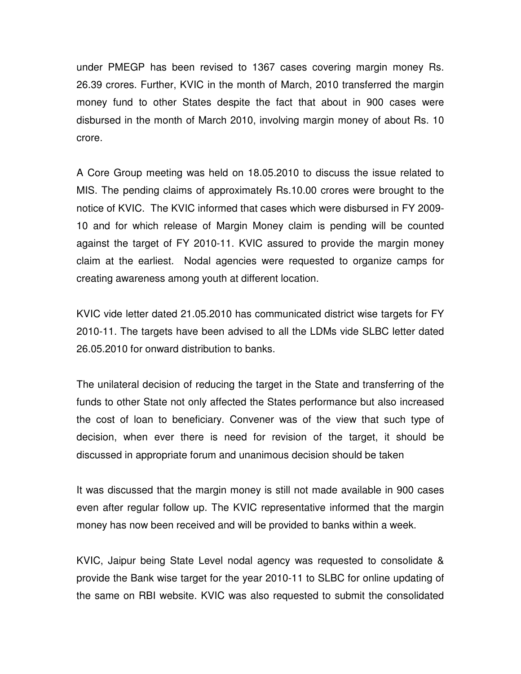under PMEGP has been revised to 1367 cases covering margin money Rs. 26.39 crores. Further, KVIC in the month of March, 2010 transferred the margin money fund to other States despite the fact that about in 900 cases were disbursed in the month of March 2010, involving margin money of about Rs. 10 crore.

A Core Group meeting was held on 18.05.2010 to discuss the issue related to MIS. The pending claims of approximately Rs.10.00 crores were brought to the notice of KVIC. The KVIC informed that cases which were disbursed in FY 2009- 10 and for which release of Margin Money claim is pending will be counted against the target of FY 2010-11. KVIC assured to provide the margin money claim at the earliest. Nodal agencies were requested to organize camps for creating awareness among youth at different location.

KVIC vide letter dated 21.05.2010 has communicated district wise targets for FY 2010-11. The targets have been advised to all the LDMs vide SLBC letter dated 26.05.2010 for onward distribution to banks.

The unilateral decision of reducing the target in the State and transferring of the funds to other State not only affected the States performance but also increased the cost of loan to beneficiary. Convener was of the view that such type of decision, when ever there is need for revision of the target, it should be discussed in appropriate forum and unanimous decision should be taken

It was discussed that the margin money is still not made available in 900 cases even after regular follow up. The KVIC representative informed that the margin money has now been received and will be provided to banks within a week.

KVIC, Jaipur being State Level nodal agency was requested to consolidate & provide the Bank wise target for the year 2010-11 to SLBC for online updating of the same on RBI website. KVIC was also requested to submit the consolidated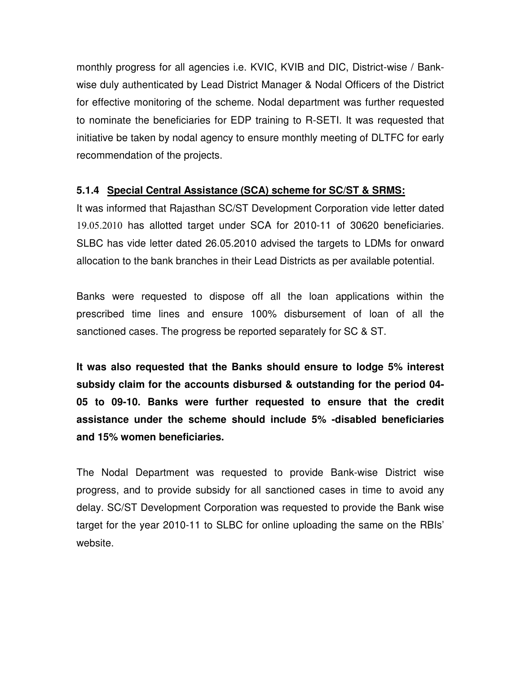monthly progress for all agencies i.e. KVIC, KVIB and DIC, District-wise / Bankwise duly authenticated by Lead District Manager & Nodal Officers of the District for effective monitoring of the scheme. Nodal department was further requested to nominate the beneficiaries for EDP training to R-SETI. It was requested that initiative be taken by nodal agency to ensure monthly meeting of DLTFC for early recommendation of the projects.

#### **5.1.4 Special Central Assistance (SCA) scheme for SC/ST & SRMS:**

It was informed that Rajasthan SC/ST Development Corporation vide letter dated 19.05.2010 has allotted target under SCA for 2010-11 of 30620 beneficiaries. SLBC has vide letter dated 26.05.2010 advised the targets to LDMs for onward allocation to the bank branches in their Lead Districts as per available potential.

Banks were requested to dispose off all the loan applications within the prescribed time lines and ensure 100% disbursement of loan of all the sanctioned cases. The progress be reported separately for SC & ST.

**It was also requested that the Banks should ensure to lodge 5% interest subsidy claim for the accounts disbursed & outstanding for the period 04- 05 to 09-10. Banks were further requested to ensure that the credit assistance under the scheme should include 5% -disabled beneficiaries and 15% women beneficiaries.** 

The Nodal Department was requested to provide Bank-wise District wise progress, and to provide subsidy for all sanctioned cases in time to avoid any delay. SC/ST Development Corporation was requested to provide the Bank wise target for the year 2010-11 to SLBC for online uploading the same on the RBIs' website.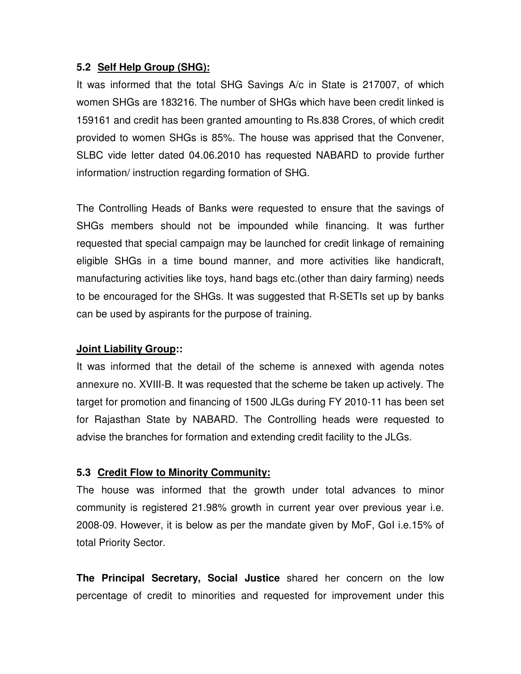#### **5.2 Self Help Group (SHG):**

It was informed that the total SHG Savings A/c in State is 217007, of which women SHGs are 183216. The number of SHGs which have been credit linked is 159161 and credit has been granted amounting to Rs.838 Crores, of which credit provided to women SHGs is 85%. The house was apprised that the Convener, SLBC vide letter dated 04.06.2010 has requested NABARD to provide further information/ instruction regarding formation of SHG.

The Controlling Heads of Banks were requested to ensure that the savings of SHGs members should not be impounded while financing. It was further requested that special campaign may be launched for credit linkage of remaining eligible SHGs in a time bound manner, and more activities like handicraft, manufacturing activities like toys, hand bags etc.(other than dairy farming) needs to be encouraged for the SHGs. It was suggested that R-SETIs set up by banks can be used by aspirants for the purpose of training.

#### **Joint Liability Group::**

It was informed that the detail of the scheme is annexed with agenda notes annexure no. XVIII-B. It was requested that the scheme be taken up actively. The target for promotion and financing of 1500 JLGs during FY 2010-11 has been set for Rajasthan State by NABARD. The Controlling heads were requested to advise the branches for formation and extending credit facility to the JLGs.

#### **5.3 Credit Flow to Minority Community:**

The house was informed that the growth under total advances to minor community is registered 21.98% growth in current year over previous year i.e. 2008-09. However, it is below as per the mandate given by MoF, GoI i.e.15% of total Priority Sector.

**The Principal Secretary, Social Justice** shared her concern on the low percentage of credit to minorities and requested for improvement under this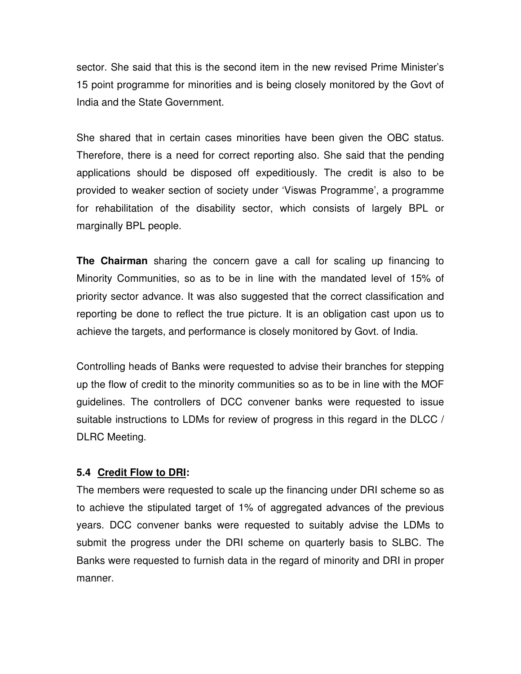sector. She said that this is the second item in the new revised Prime Minister's 15 point programme for minorities and is being closely monitored by the Govt of India and the State Government.

She shared that in certain cases minorities have been given the OBC status. Therefore, there is a need for correct reporting also. She said that the pending applications should be disposed off expeditiously. The credit is also to be provided to weaker section of society under 'Viswas Programme', a programme for rehabilitation of the disability sector, which consists of largely BPL or marginally BPL people.

**The Chairman** sharing the concern gave a call for scaling up financing to Minority Communities, so as to be in line with the mandated level of 15% of priority sector advance. It was also suggested that the correct classification and reporting be done to reflect the true picture. It is an obligation cast upon us to achieve the targets, and performance is closely monitored by Govt. of India.

Controlling heads of Banks were requested to advise their branches for stepping up the flow of credit to the minority communities so as to be in line with the MOF guidelines. The controllers of DCC convener banks were requested to issue suitable instructions to LDMs for review of progress in this regard in the DLCC / DLRC Meeting.

#### **5.4 Credit Flow to DRI:**

The members were requested to scale up the financing under DRI scheme so as to achieve the stipulated target of 1% of aggregated advances of the previous years. DCC convener banks were requested to suitably advise the LDMs to submit the progress under the DRI scheme on quarterly basis to SLBC. The Banks were requested to furnish data in the regard of minority and DRI in proper manner.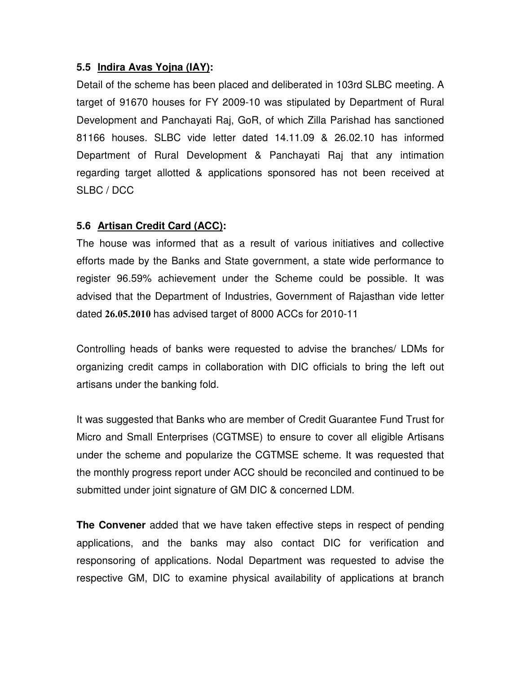#### **5.5 Indira Avas Yojna (IAY):**

Detail of the scheme has been placed and deliberated in 103rd SLBC meeting. A target of 91670 houses for FY 2009-10 was stipulated by Department of Rural Development and Panchayati Raj, GoR, of which Zilla Parishad has sanctioned 81166 houses. SLBC vide letter dated 14.11.09 & 26.02.10 has informed Department of Rural Development & Panchayati Raj that any intimation regarding target allotted & applications sponsored has not been received at SLBC / DCC

#### **5.6 Artisan Credit Card (ACC):**

The house was informed that as a result of various initiatives and collective efforts made by the Banks and State government, a state wide performance to register 96.59% achievement under the Scheme could be possible. It was advised that the Department of Industries, Government of Rajasthan vide letter dated 26.05.2010 has advised target of 8000 ACCs for 2010-11

Controlling heads of banks were requested to advise the branches/ LDMs for organizing credit camps in collaboration with DIC officials to bring the left out artisans under the banking fold.

It was suggested that Banks who are member of Credit Guarantee Fund Trust for Micro and Small Enterprises (CGTMSE) to ensure to cover all eligible Artisans under the scheme and popularize the CGTMSE scheme. It was requested that the monthly progress report under ACC should be reconciled and continued to be submitted under joint signature of GM DIC & concerned LDM.

**The Convener** added that we have taken effective steps in respect of pending applications, and the banks may also contact DIC for verification and responsoring of applications. Nodal Department was requested to advise the respective GM, DIC to examine physical availability of applications at branch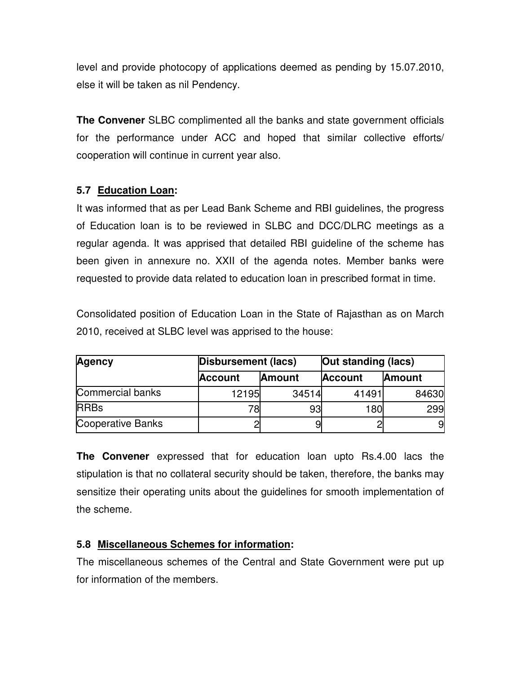level and provide photocopy of applications deemed as pending by 15.07.2010, else it will be taken as nil Pendency.

**The Convener** SLBC complimented all the banks and state government officials for the performance under ACC and hoped that similar collective efforts/ cooperation will continue in current year also.

#### **5.7 Education Loan:**

It was informed that as per Lead Bank Scheme and RBI guidelines, the progress of Education loan is to be reviewed in SLBC and DCC/DLRC meetings as a regular agenda. It was apprised that detailed RBI guideline of the scheme has been given in annexure no. XXII of the agenda notes. Member banks were requested to provide data related to education loan in prescribed format in time.

Consolidated position of Education Loan in the State of Rajasthan as on March 2010, received at SLBC level was apprised to the house:

| <b>Agency</b>     | Out standing (lacs)<br>Disbursement (lacs) |                |                |               |
|-------------------|--------------------------------------------|----------------|----------------|---------------|
|                   | Account                                    | <b>IAmount</b> | <b>Account</b> | <b>Amount</b> |
| Commercial banks  | 12195                                      | 34514          | 41491          | 84630         |
| <b>RRBs</b>       | 78                                         | 93             | 180            | 299           |
| Cooperative Banks |                                            |                |                | 9             |

**The Convener** expressed that for education loan upto Rs.4.00 lacs the stipulation is that no collateral security should be taken, therefore, the banks may sensitize their operating units about the guidelines for smooth implementation of the scheme.

#### **5.8 Miscellaneous Schemes for information:**

The miscellaneous schemes of the Central and State Government were put up for information of the members.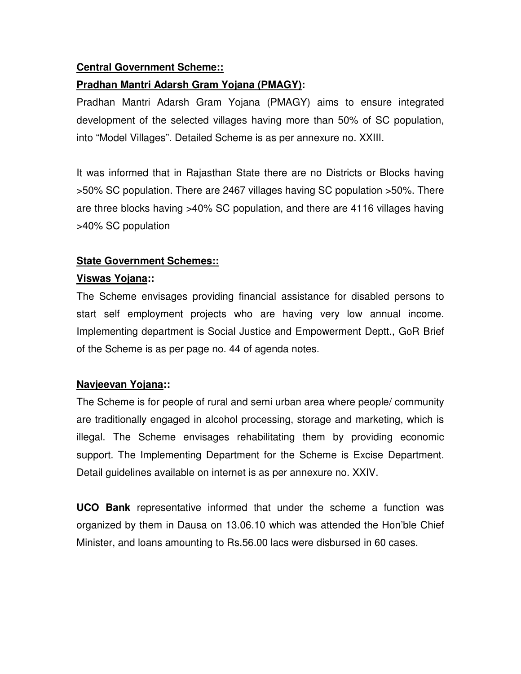#### **Central Government Scheme::**

#### **Pradhan Mantri Adarsh Gram Yojana (PMAGY):**

Pradhan Mantri Adarsh Gram Yojana (PMAGY) aims to ensure integrated development of the selected villages having more than 50% of SC population, into "Model Villages". Detailed Scheme is as per annexure no. XXIII.

It was informed that in Rajasthan State there are no Districts or Blocks having >50% SC population. There are 2467 villages having SC population >50%. There are three blocks having >40% SC population, and there are 4116 villages having >40% SC population

#### **State Government Schemes::**

#### **Viswas Yojana::**

The Scheme envisages providing financial assistance for disabled persons to start self employment projects who are having very low annual income. Implementing department is Social Justice and Empowerment Deptt., GoR Brief of the Scheme is as per page no. 44 of agenda notes.

#### **Navjeevan Yojana::**

The Scheme is for people of rural and semi urban area where people/ community are traditionally engaged in alcohol processing, storage and marketing, which is illegal. The Scheme envisages rehabilitating them by providing economic support. The Implementing Department for the Scheme is Excise Department. Detail guidelines available on internet is as per annexure no. XXIV.

**UCO Bank** representative informed that under the scheme a function was organized by them in Dausa on 13.06.10 which was attended the Hon'ble Chief Minister, and loans amounting to Rs.56.00 lacs were disbursed in 60 cases.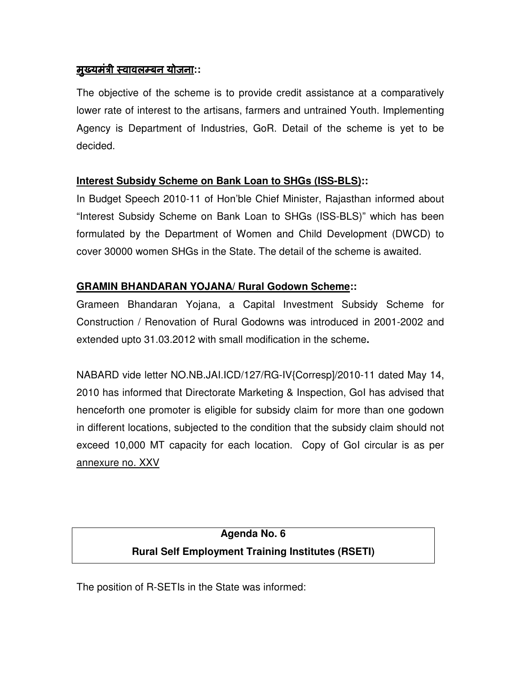#### <u>मुख्यमंत्री स्वावलम्बन योजना</u>::

The objective of the scheme is to provide credit assistance at a comparatively lower rate of interest to the artisans, farmers and untrained Youth. Implementing Agency is Department of Industries, GoR. Detail of the scheme is yet to be decided.

#### **Interest Subsidy Scheme on Bank Loan to SHGs (ISS-BLS)::**

In Budget Speech 2010-11 of Hon'ble Chief Minister, Rajasthan informed about "Interest Subsidy Scheme on Bank Loan to SHGs (ISS-BLS)" which has been formulated by the Department of Women and Child Development (DWCD) to cover 30000 women SHGs in the State. The detail of the scheme is awaited.

#### **GRAMIN BHANDARAN YOJANA/ Rural Godown Scheme::**

Grameen Bhandaran Yojana, a Capital Investment Subsidy Scheme for Construction / Renovation of Rural Godowns was introduced in 2001-2002 and extended upto 31.03.2012 with small modification in the scheme**.** 

NABARD vide letter NO.NB.JAI.ICD/127/RG-IV{Corresp]/2010-11 dated May 14, 2010 has informed that Directorate Marketing & Inspection, GoI has advised that henceforth one promoter is eligible for subsidy claim for more than one godown in different locations, subjected to the condition that the subsidy claim should not exceed 10,000 MT capacity for each location. Copy of GoI circular is as per annexure no. XXV

## **Agenda No. 6 Rural Self Employment Training Institutes (RSETI)**

The position of R-SETIs in the State was informed: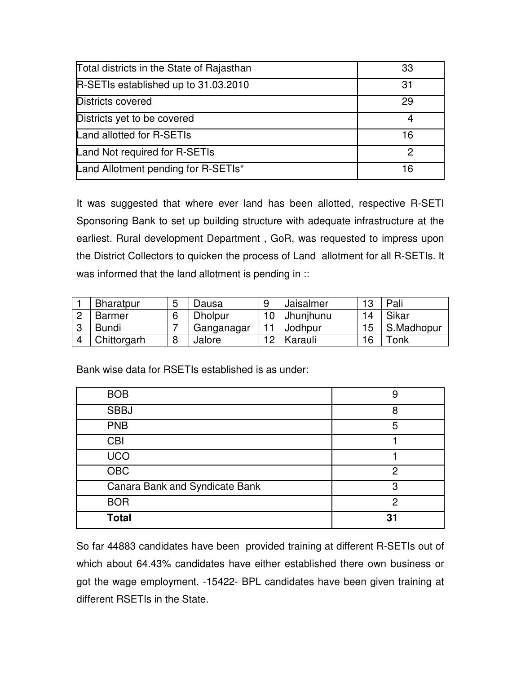| Total districts in the State of Rajasthan | 33 |
|-------------------------------------------|----|
| R-SETIs established up to 31.03.2010      | 31 |
| Districts covered                         | 29 |
| Districts yet to be covered               |    |
| Land allotted for R-SETIs                 | 16 |
| Land Not required for R-SETIs             | 2  |
| Land Allotment pending for R-SETIs*       | 16 |

It was suggested that where ever land has been allotted, respective R-SETI Sponsoring Bank to set up building structure with adequate infrastructure at the earliest. Rural development Department , GoR, was requested to impress upon the District Collectors to quicken the process of Land allotment for all R-SETIs. It was informed that the land allotment is pending in ::

| <b>Bharatpur</b> | 5 | Jausa          | 9 | Jaisalmer | 10 | Pali       |
|------------------|---|----------------|---|-----------|----|------------|
| Barmer           | 6 | <b>Dholpur</b> |   | Jhunjhunu | 14 | Sikar      |
| <b>Bundi</b>     |   | Ganganagar     |   | Jodhpur   | 15 | S.Madhopur |
| Chittorgarh      | 8 | Jalore         |   | Karauli   | 16 | Tonk l     |

Bank wise data for RSETIs established is as under:

| <b>BOB</b>                     | g  |
|--------------------------------|----|
| <b>SBBJ</b>                    | я  |
| <b>PNB</b>                     | 5  |
| <b>CBI</b>                     |    |
| <b>UCO</b>                     |    |
| $\overline{OBC}$               | ႒  |
| Canara Bank and Syndicate Bank | З  |
| <b>BOR</b>                     | っ  |
| <b>Total</b>                   | 31 |

So far 44883 candidates have been provided training at different R-SETIs out of which about 64.43% candidates have either established there own business or got the wage employment. -15422- BPL candidates have been given training at different RSETIs in the State.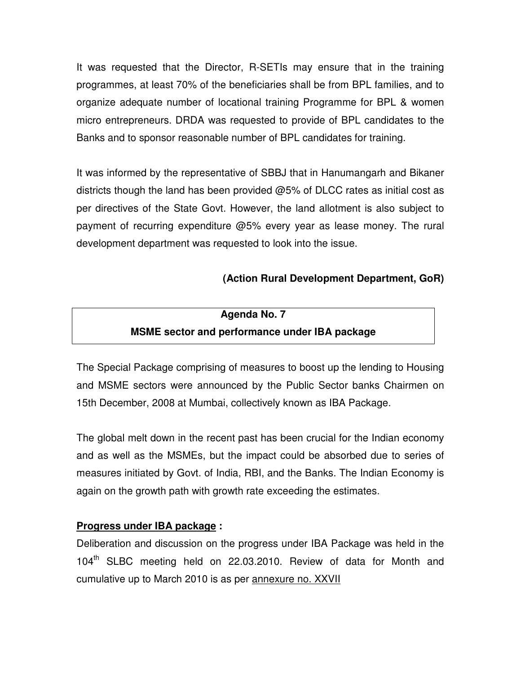It was requested that the Director, R-SETIs may ensure that in the training programmes, at least 70% of the beneficiaries shall be from BPL families, and to organize adequate number of locational training Programme for BPL & women micro entrepreneurs. DRDA was requested to provide of BPL candidates to the Banks and to sponsor reasonable number of BPL candidates for training.

It was informed by the representative of SBBJ that in Hanumangarh and Bikaner districts though the land has been provided  $@5\%$  of DLCC rates as initial cost as per directives of the State Govt. However, the land allotment is also subject to payment of recurring expenditure @5% every year as lease money. The rural development department was requested to look into the issue.

#### **(Action Rural Development Department, GoR)**

## **Agenda No. 7 MSME sector and performance under IBA package**

The Special Package comprising of measures to boost up the lending to Housing and MSME sectors were announced by the Public Sector banks Chairmen on 15th December, 2008 at Mumbai, collectively known as IBA Package.

The global melt down in the recent past has been crucial for the Indian economy and as well as the MSMEs, but the impact could be absorbed due to series of measures initiated by Govt. of India, RBI, and the Banks. The Indian Economy is again on the growth path with growth rate exceeding the estimates.

#### **Progress under IBA package :**

Deliberation and discussion on the progress under IBA Package was held in the 104<sup>th</sup> SLBC meeting held on 22.03.2010. Review of data for Month and cumulative up to March 2010 is as per annexure no. XXVII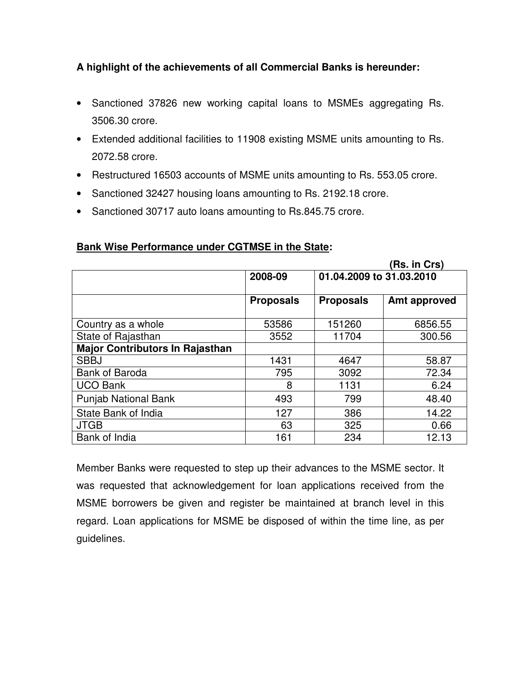#### **A highlight of the achievements of all Commercial Banks is hereunder:**

- Sanctioned 37826 new working capital loans to MSMEs aggregating Rs. 3506.30 crore.
- Extended additional facilities to 11908 existing MSME units amounting to Rs. 2072.58 crore.
- Restructured 16503 accounts of MSME units amounting to Rs. 553.05 crore.
- Sanctioned 32427 housing loans amounting to Rs. 2192.18 crore.
- Sanctioned 30717 auto loans amounting to Rs.845.75 crore.

#### **Bank Wise Performance under CGTMSE in the State:**

|                                        |                  |                          | (Rs. in Crs) |
|----------------------------------------|------------------|--------------------------|--------------|
|                                        | 2008-09          | 01.04.2009 to 31.03.2010 |              |
|                                        | <b>Proposals</b> | <b>Proposals</b>         | Amt approved |
| Country as a whole                     | 53586            | 151260                   | 6856.55      |
| State of Rajasthan                     | 3552             | 11704                    | 300.56       |
| <b>Major Contributors In Rajasthan</b> |                  |                          |              |
| <b>SBBJ</b>                            | 1431             | 4647                     | 58.87        |
| <b>Bank of Baroda</b>                  | 795              | 3092                     | 72.34        |
| <b>UCO Bank</b>                        | 8                | 1131                     | 6.24         |
| <b>Punjab National Bank</b>            | 493              | 799                      | 48.40        |
| State Bank of India                    | 127              | 386                      | 14.22        |
| <b>JTGB</b>                            | 63               | 325                      | 0.66         |
| Bank of India                          | 161              | 234                      | 12.13        |

Member Banks were requested to step up their advances to the MSME sector. It was requested that acknowledgement for loan applications received from the MSME borrowers be given and register be maintained at branch level in this regard. Loan applications for MSME be disposed of within the time line, as per guidelines.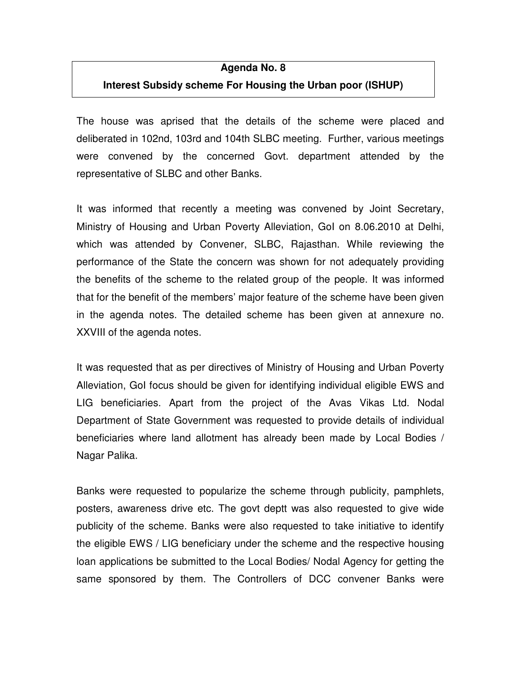#### **Agenda No. 8**

#### **Interest Subsidy scheme For Housing the Urban poor (ISHUP)**

The house was aprised that the details of the scheme were placed and deliberated in 102nd, 103rd and 104th SLBC meeting. Further, various meetings were convened by the concerned Govt. department attended by the representative of SLBC and other Banks.

It was informed that recently a meeting was convened by Joint Secretary, Ministry of Housing and Urban Poverty Alleviation, GoI on 8.06.2010 at Delhi, which was attended by Convener, SLBC, Rajasthan. While reviewing the performance of the State the concern was shown for not adequately providing the benefits of the scheme to the related group of the people. It was informed that for the benefit of the members' major feature of the scheme have been given in the agenda notes. The detailed scheme has been given at annexure no. XXVIII of the agenda notes.

It was requested that as per directives of Ministry of Housing and Urban Poverty Alleviation, GoI focus should be given for identifying individual eligible EWS and LIG beneficiaries. Apart from the project of the Avas Vikas Ltd. Nodal Department of State Government was requested to provide details of individual beneficiaries where land allotment has already been made by Local Bodies / Nagar Palika.

Banks were requested to popularize the scheme through publicity, pamphlets, posters, awareness drive etc. The govt deptt was also requested to give wide publicity of the scheme. Banks were also requested to take initiative to identify the eligible EWS / LIG beneficiary under the scheme and the respective housing loan applications be submitted to the Local Bodies/ Nodal Agency for getting the same sponsored by them. The Controllers of DCC convener Banks were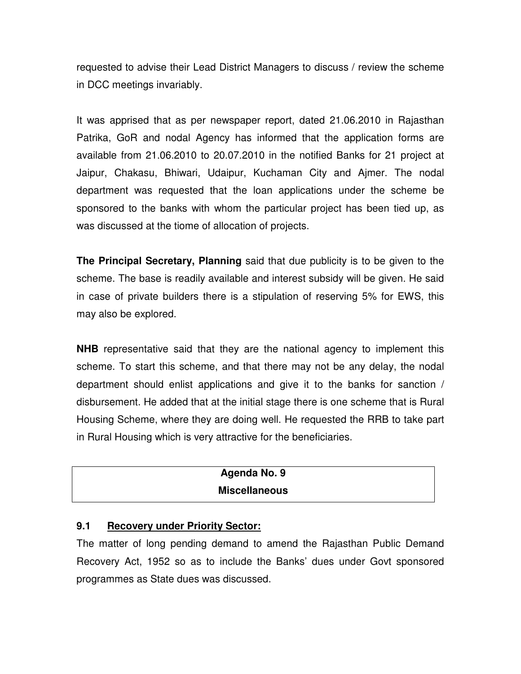requested to advise their Lead District Managers to discuss / review the scheme in DCC meetings invariably.

It was apprised that as per newspaper report, dated 21.06.2010 in Rajasthan Patrika, GoR and nodal Agency has informed that the application forms are available from 21.06.2010 to 20.07.2010 in the notified Banks for 21 project at Jaipur, Chakasu, Bhiwari, Udaipur, Kuchaman City and Ajmer. The nodal department was requested that the loan applications under the scheme be sponsored to the banks with whom the particular project has been tied up, as was discussed at the tiome of allocation of projects.

**The Principal Secretary, Planning** said that due publicity is to be given to the scheme. The base is readily available and interest subsidy will be given. He said in case of private builders there is a stipulation of reserving 5% for EWS, this may also be explored.

**NHB** representative said that they are the national agency to implement this scheme. To start this scheme, and that there may not be any delay, the nodal department should enlist applications and give it to the banks for sanction / disbursement. He added that at the initial stage there is one scheme that is Rural Housing Scheme, where they are doing well. He requested the RRB to take part in Rural Housing which is very attractive for the beneficiaries.

| Agenda No. 9         |  |
|----------------------|--|
| <b>Miscellaneous</b> |  |

#### **9.1 Recovery under Priority Sector:**

The matter of long pending demand to amend the Rajasthan Public Demand Recovery Act, 1952 so as to include the Banks' dues under Govt sponsored programmes as State dues was discussed.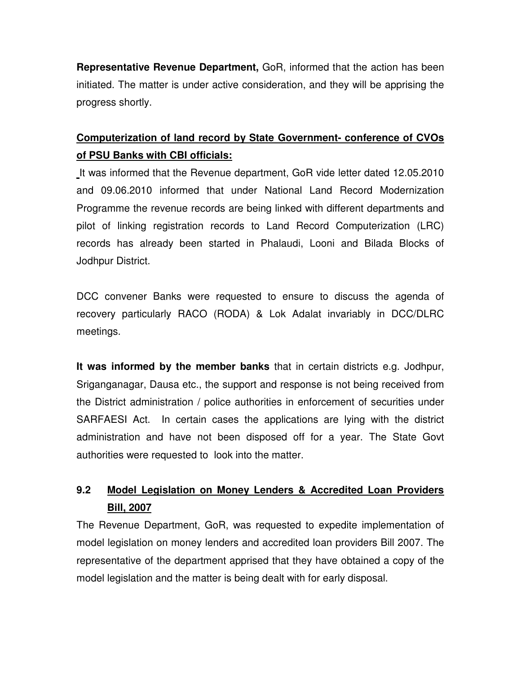**Representative Revenue Department,** GoR, informed that the action has been initiated. The matter is under active consideration, and they will be apprising the progress shortly.

## **Computerization of land record by State Government- conference of CVOs of PSU Banks with CBI officials:**

It was informed that the Revenue department, GoR vide letter dated 12.05.2010 and 09.06.2010 informed that under National Land Record Modernization Programme the revenue records are being linked with different departments and pilot of linking registration records to Land Record Computerization (LRC) records has already been started in Phalaudi, Looni and Bilada Blocks of Jodhpur District.

DCC convener Banks were requested to ensure to discuss the agenda of recovery particularly RACO (RODA) & Lok Adalat invariably in DCC/DLRC meetings.

**It was informed by the member banks** that in certain districts e.g. Jodhpur, Sriganganagar, Dausa etc., the support and response is not being received from the District administration / police authorities in enforcement of securities under SARFAESI Act. In certain cases the applications are lying with the district administration and have not been disposed off for a year. The State Govt authorities were requested to look into the matter.

## **9.2 Model Legislation on Money Lenders & Accredited Loan Providers Bill, 2007**

The Revenue Department, GoR, was requested to expedite implementation of model legislation on money lenders and accredited loan providers Bill 2007. The representative of the department apprised that they have obtained a copy of the model legislation and the matter is being dealt with for early disposal.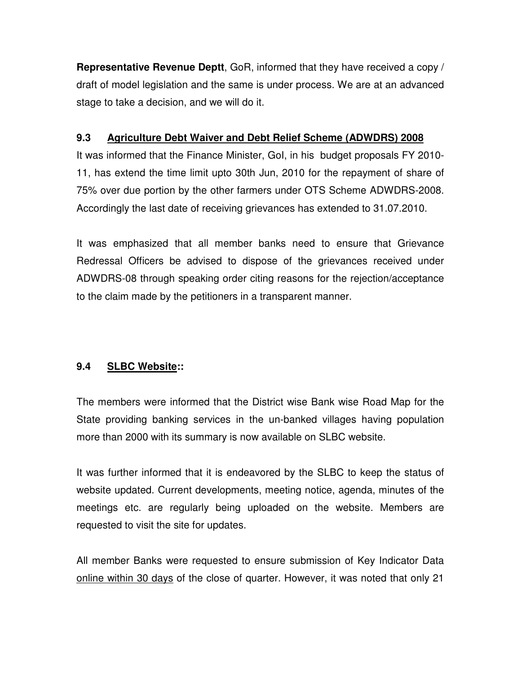**Representative Revenue Deptt**, GoR, informed that they have received a copy / draft of model legislation and the same is under process. We are at an advanced stage to take a decision, and we will do it.

#### **9.3 Agriculture Debt Waiver and Debt Relief Scheme (ADWDRS) 2008**

It was informed that the Finance Minister, GoI, in his budget proposals FY 2010- 11, has extend the time limit upto 30th Jun, 2010 for the repayment of share of 75% over due portion by the other farmers under OTS Scheme ADWDRS-2008. Accordingly the last date of receiving grievances has extended to 31.07.2010.

It was emphasized that all member banks need to ensure that Grievance Redressal Officers be advised to dispose of the grievances received under ADWDRS-08 through speaking order citing reasons for the rejection/acceptance to the claim made by the petitioners in a transparent manner.

#### **9.4 SLBC Website::**

The members were informed that the District wise Bank wise Road Map for the State providing banking services in the un-banked villages having population more than 2000 with its summary is now available on SLBC website.

It was further informed that it is endeavored by the SLBC to keep the status of website updated. Current developments, meeting notice, agenda, minutes of the meetings etc. are regularly being uploaded on the website. Members are requested to visit the site for updates.

All member Banks were requested to ensure submission of Key Indicator Data online within 30 days of the close of quarter. However, it was noted that only 21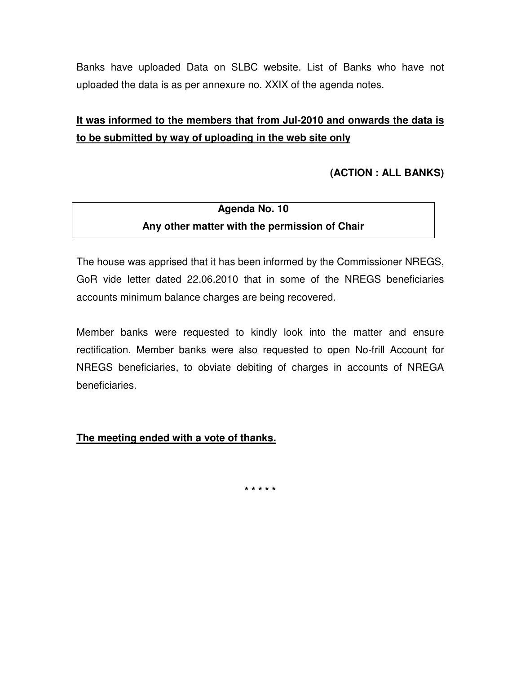Banks have uploaded Data on SLBC website. List of Banks who have not uploaded the data is as per annexure no. XXIX of the agenda notes.

## **It was informed to the members that from Jul-2010 and onwards the data is to be submitted by way of uploading in the web site only**

#### **(ACTION : ALL BANKS)**

## **Agenda No. 10 Any other matter with the permission of Chair**

The house was apprised that it has been informed by the Commissioner NREGS, GoR vide letter dated 22.06.2010 that in some of the NREGS beneficiaries accounts minimum balance charges are being recovered.

Member banks were requested to kindly look into the matter and ensure rectification. Member banks were also requested to open No-frill Account for NREGS beneficiaries, to obviate debiting of charges in accounts of NREGA beneficiaries.

#### **The meeting ended with a vote of thanks.**

**\* \* \* \* \***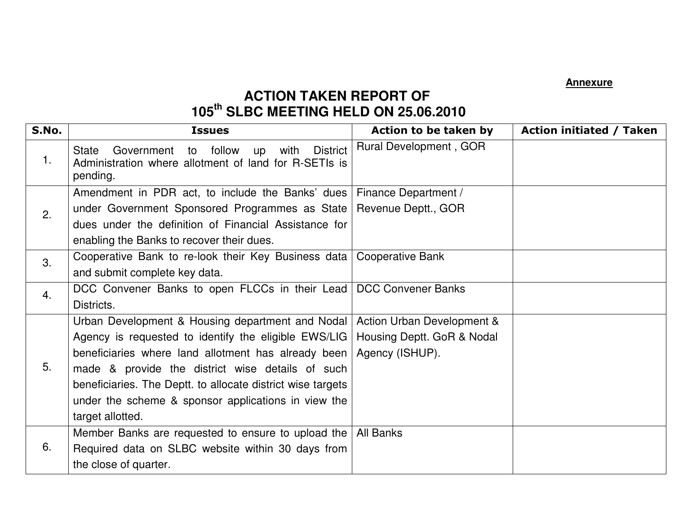**Annexure**

# **ACTION TAKEN REPORT OF 105th SLBC MEETING HELD ON 25.06.2010**

| S.No. | <b>Issues</b>                                                                                                                                                                                                                                                                                                                                                 | Action to be taken by                                                       | <b>Action initiated / Taken</b> |
|-------|---------------------------------------------------------------------------------------------------------------------------------------------------------------------------------------------------------------------------------------------------------------------------------------------------------------------------------------------------------------|-----------------------------------------------------------------------------|---------------------------------|
| 1.    | follow<br><b>District</b><br>Government<br>with<br><b>State</b><br>to<br>up<br>Administration where allotment of land for R-SETIs is<br>pending.                                                                                                                                                                                                              | Rural Development, GOR                                                      |                                 |
| 2.    | Amendment in PDR act, to include the Banks' dues<br>under Government Sponsored Programmes as State<br>dues under the definition of Financial Assistance for<br>enabling the Banks to recover their dues.                                                                                                                                                      | Finance Department /<br>Revenue Deptt., GOR                                 |                                 |
| 3.    | Cooperative Bank to re-look their Key Business data<br>and submit complete key data.                                                                                                                                                                                                                                                                          | <b>Cooperative Bank</b>                                                     |                                 |
| 4.    | DCC Convener Banks to open FLCCs in their Lead<br>Districts.                                                                                                                                                                                                                                                                                                  | <b>DCC Convener Banks</b>                                                   |                                 |
| 5.    | Urban Development & Housing department and Nodal<br>Agency is requested to identify the eligible EWS/LIG<br>beneficiaries where land allotment has already been<br>made & provide the district wise details of such<br>beneficiaries. The Deptt. to allocate district wise targets<br>under the scheme & sponsor applications in view the<br>target allotted. | Action Urban Development &<br>Housing Deptt. GoR & Nodal<br>Agency (ISHUP). |                                 |
| 6.    | Member Banks are requested to ensure to upload the<br>Required data on SLBC website within 30 days from<br>the close of quarter.                                                                                                                                                                                                                              | All Banks                                                                   |                                 |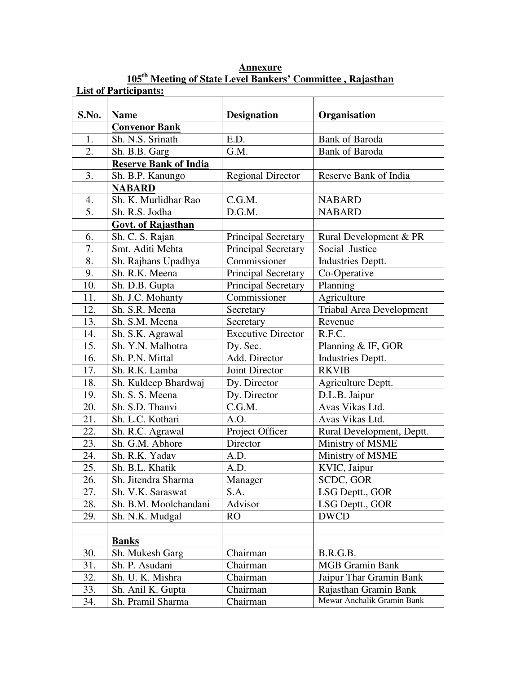| S.No. | <b>Name</b>                  | <b>Designation</b>        | Organisation                    |
|-------|------------------------------|---------------------------|---------------------------------|
|       | <b>Convenor Bank</b>         |                           |                                 |
| 1.    | Sh. N.S. Srinath             | E.D.                      | <b>Bank of Baroda</b>           |
| 2.    | Sh. B.B. Garg                | G.M.                      | <b>Bank of Baroda</b>           |
|       | <b>Reserve Bank of India</b> |                           |                                 |
| 3.    | Sh. B.P. Kanungo             | <b>Regional Director</b>  | Reserve Bank of India           |
|       | <b>NABARD</b>                |                           |                                 |
| 4.    | Sh. K. Murlidhar Rao         | C.G.M.                    | <b>NABARD</b>                   |
| 5.    | Sh. R.S. Jodha               | D.G.M.                    | <b>NABARD</b>                   |
|       | Govt. of Rajasthan           |                           |                                 |
| 6.    | Sh. C. S. Rajan              | Principal Secretary       | Rural Development & PR          |
| 7.    | Smt. Aditi Mehta             | Principal Secretary       | Social Justice                  |
| 8.    | Sh. Rajhans Upadhya          | Commissioner              | Industries Deptt.               |
| 9.    | Sh. R.K. Meena               | Principal Secretary       | Co-Operative                    |
| 10.   | Sh. D.B. Gupta               | Principal Secretary       | Planning                        |
| 11.   | Sh. J.C. Mohanty             | Commissioner              | Agriculture                     |
| 12.   | Sh. S.R. Meena               | Secretary                 | <b>Triabal Area Development</b> |
| 13.   | Sh. S.M. Meena               | Secretary                 | Revenue                         |
| 14.   | Sh. S.K. Agrawal             | <b>Executive Director</b> | R.F.C.                          |
| 15.   | Sh. Y.N. Malhotra            | Dy. Sec.                  | Planning & IF, GOR              |
| 16.   | Sh. P.N. Mittal              | Add. Director             | <b>Industries Deptt.</b>        |
| 17.   | Sh. R.K. Lamba               | Joint Director            | <b>RKVIB</b>                    |
| 18.   | Sh. Kuldeep Bhardwaj         | Dy. Director              | Agriculture Deptt.              |
| 19.   | Sh. S. S. Meena              | Dy. Director              | D.L.B. Jaipur                   |
| 20.   | Sh. S.D. Thanvi              | C.G.M.                    | Avas Vikas Ltd.                 |
| 21.   | Sh. L.C. Kothari             | A.O.                      | Avas Vikas Ltd.                 |
| 22.   | Sh. R.C. Agrawal             | Project Officer           | Rural Development, Deptt.       |
| 23.   | Sh. G.M. Abhore              | Director                  | Ministry of MSME                |
| 24.   | Sh. R.K. Yadav               | A.D.                      | Ministry of MSME                |
| 25.   | Sh. B.L. Khatik              | A.D.                      | KVIC, Jaipur                    |
| 26.   | Sh. Jitendra Sharma          | Manager                   | SCDC, GOR                       |
| 27.   | Sh. V.K. Saraswat            | S.A.                      | LSG Deptt., GOR                 |
| 28.   | Sh. B.M. Moolchandani        | Advisor                   | LSG Deptt., GOR                 |
| 29.   | Sh. N.K. Mudgal              | RO                        | <b>DWCD</b>                     |
|       |                              |                           |                                 |
|       | <b>Banks</b>                 |                           |                                 |
| 30.   | Sh. Mukesh Garg              | Chairman                  | B.R.G.B.                        |
| 31.   | Sh. P. Asudani               | Chairman                  | <b>MGB</b> Gramin Bank          |
| 32.   | Sh. U. K. Mishra             | Chairman                  | Jaipur Thar Gramin Bank         |
| 33.   | Sh. Anil K. Gupta            | Chairman                  | Rajasthan Gramin Bank           |
| 34.   | Sh. Pramil Sharma            | Chairman                  | Mewar Anchalik Gramin Bank      |

**Annexure 105th Meeting of State Level Bankers' Committee , Rajasthan**